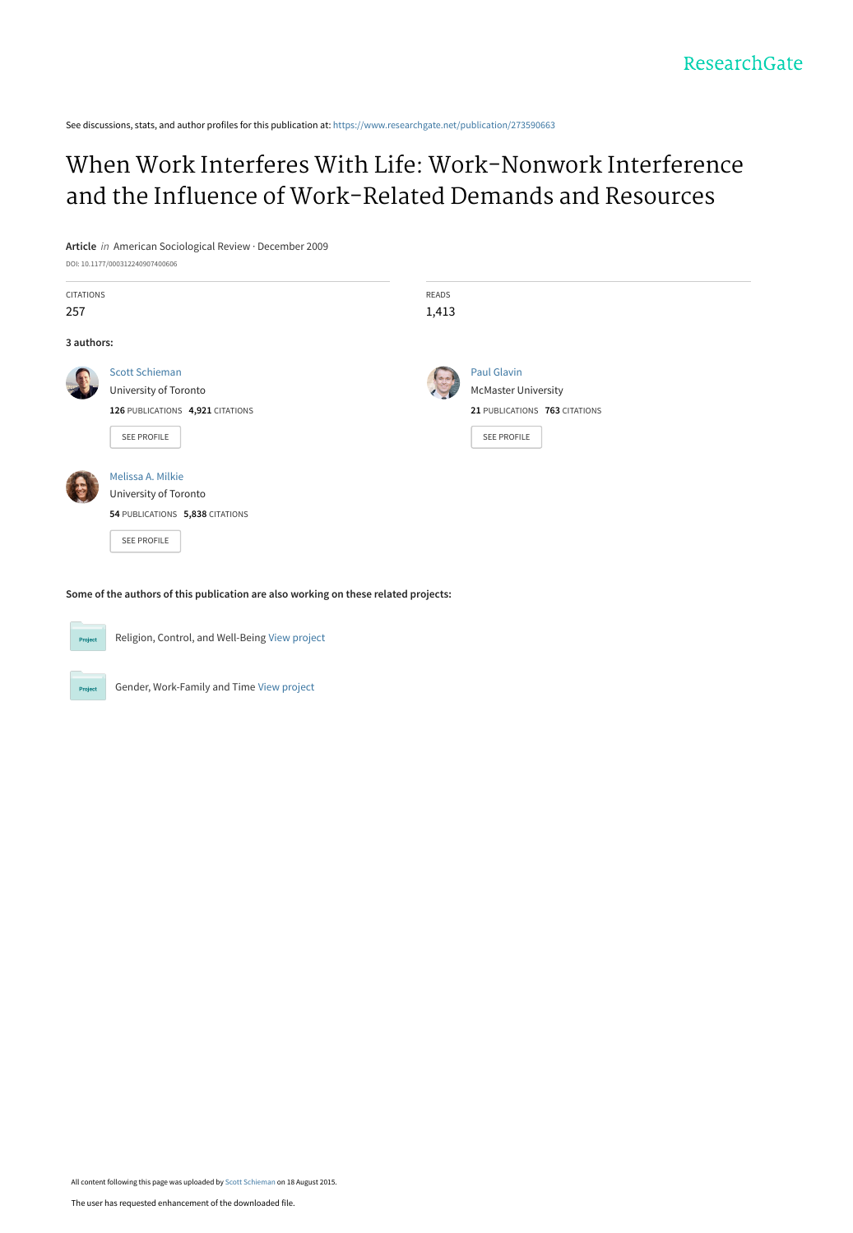See discussions, stats, and author profiles for this publication at: [https://www.researchgate.net/publication/273590663](https://www.researchgate.net/publication/273590663_When_Work_Interferes_With_Life_Work-Nonwork_Interference_and_the_Influence_of_Work-Related_Demands_and_Resources?enrichId=rgreq-7a067e02e07d9e1d6ee39eff0b6d3d02-XXX&enrichSource=Y292ZXJQYWdlOzI3MzU5MDY2MztBUzoyNjM3ODE5OTc2MDg5NjBAMTQzOTkwMTkzNzYzMA%3D%3D&el=1_x_2&_esc=publicationCoverPdf)

# [When Work Interferes With Life: Work-Nonwork Interference](https://www.researchgate.net/publication/273590663_When_Work_Interferes_With_Life_Work-Nonwork_Interference_and_the_Influence_of_Work-Related_Demands_and_Resources?enrichId=rgreq-7a067e02e07d9e1d6ee39eff0b6d3d02-XXX&enrichSource=Y292ZXJQYWdlOzI3MzU5MDY2MztBUzoyNjM3ODE5OTc2MDg5NjBAMTQzOTkwMTkzNzYzMA%3D%3D&el=1_x_3&_esc=publicationCoverPdf) and the Influence of Work-Related Demands and Resources

**Article** in American Sociological Review · December 2009 DOI: 10.1177/000312240907400606

| CITATIONS  |                                  | READS |                               |
|------------|----------------------------------|-------|-------------------------------|
| 257        |                                  | 1,413 |                               |
| 3 authors: |                                  |       |                               |
|            | <b>Scott Schieman</b>            |       | Paul Glavin                   |
|            | University of Toronto            |       | <b>McMaster University</b>    |
|            | 126 PUBLICATIONS 4,921 CITATIONS |       | 21 PUBLICATIONS 763 CITATIONS |
|            | SEE PROFILE                      |       | SEE PROFILE                   |
|            | Melissa A. Milkie                |       |                               |
|            | University of Toronto            |       |                               |
|            | 54 PUBLICATIONS 5,838 CITATIONS  |       |                               |
|            | <b>SEE PROFILE</b>               |       |                               |

**Some of the authors of this publication are also working on these related projects:**



Religion, Control, and Well-Being [View project](https://www.researchgate.net/project/Religion-Control-and-Well-Being?enrichId=rgreq-7a067e02e07d9e1d6ee39eff0b6d3d02-XXX&enrichSource=Y292ZXJQYWdlOzI3MzU5MDY2MztBUzoyNjM3ODE5OTc2MDg5NjBAMTQzOTkwMTkzNzYzMA%3D%3D&el=1_x_9&_esc=publicationCoverPdf)



Gender, Work-Family and Time [View project](https://www.researchgate.net/project/Gender-Work-Family-and-Time?enrichId=rgreq-7a067e02e07d9e1d6ee39eff0b6d3d02-XXX&enrichSource=Y292ZXJQYWdlOzI3MzU5MDY2MztBUzoyNjM3ODE5OTc2MDg5NjBAMTQzOTkwMTkzNzYzMA%3D%3D&el=1_x_9&_esc=publicationCoverPdf)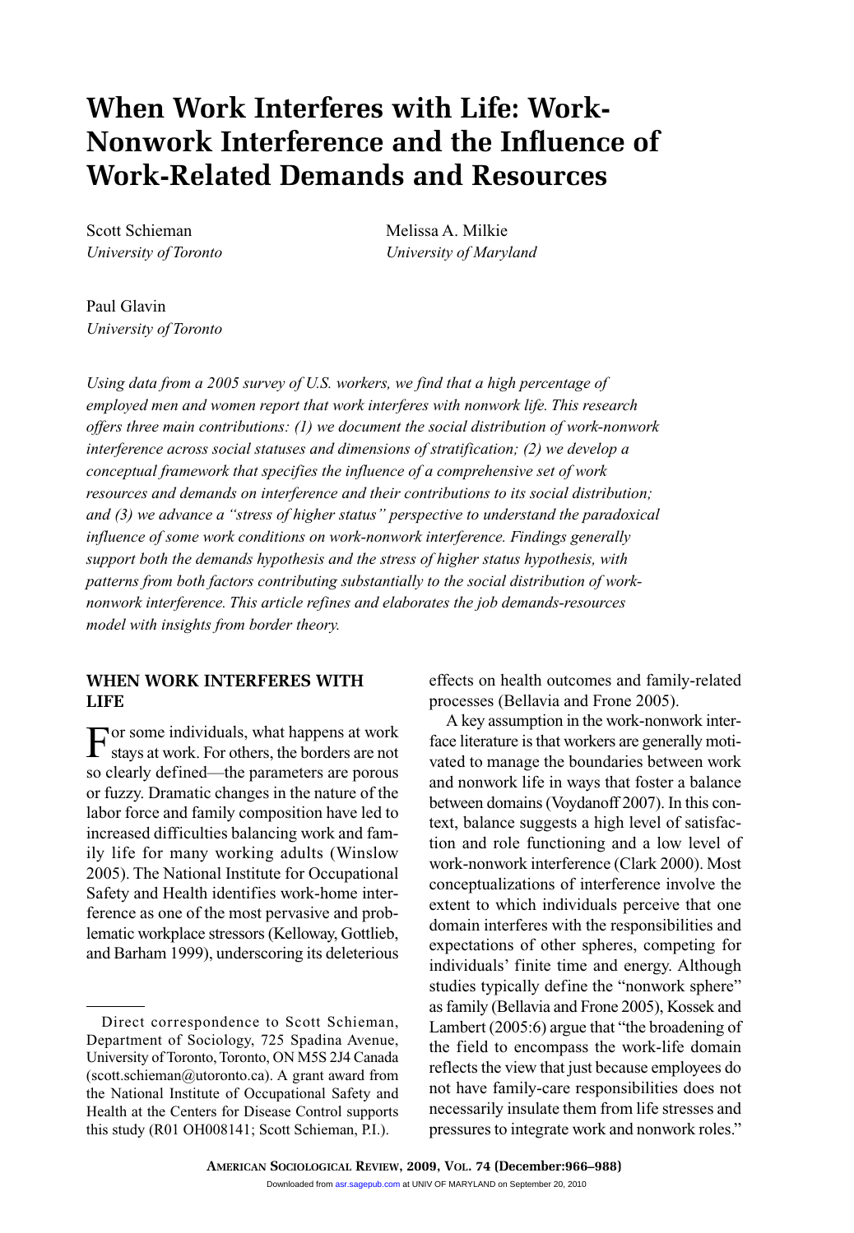# **When Work Interferes with Life: Work-Nonwork Interference and the Influence of Work-Related Demands and Resources**

Scott Schieman Melissa A. Milkie

*University of Toronto University of Maryland*

Paul Glavin *University of Toronto*

*Using data from a 2005 survey of U.S. workers, we find that a high percentage of employed men and women report that work interferes with nonwork life. This research offers three main contributions: (1) we document the social distribution of work-nonwork interference across social statuses and dimensions of stratification; (2) we develop a conceptual framework that specifies the influence of a comprehensive set of work resources and demands on interference and their contributions to its social distribution; and (3) we advance a "stress of higher status" perspective to understand the paradoxical influence of some work conditions on work-nonwork interference. Findings generally support both the demands hypothesis and the stress of higher status hypothesis, with patterns from both factors contributing substantially to the social distribution of worknonwork interference. This article refines and elaborates the job demands-resources model with insights from border theory.*

# **WHEN WORK INTERFERES WITH LIFE**

For some individuals, what happens at work stays at work. For others, the borders are not so clearly defined—the parameters are porous or fuzzy. Dramatic changes in the nature of the labor force and family composition have led to increased difficulties balancing work and family life for many working adults (Winslow 2005). The National Institute for Occupational Safety and Health identifies work-home interference as one of the most pervasive and problematic workplace stressors (Kelloway, Gottlieb, and Barham 1999), underscoring its deleterious

effects on health outcomes and family-related processes (Bellavia and Frone 2005).

A key assumption in the work-nonwork interface literature is that workers are generally motivated to manage the boundaries between work and nonwork life in ways that foster a balance between domains (Voydanoff 2007). In this context, balance suggests a high level of satisfaction and role functioning and a low level of work-nonwork interference (Clark 2000). Most conceptualizations of interference involve the extent to which individuals perceive that one domain interferes with the responsibilities and expectations of other spheres, competing for individuals' finite time and energy. Although studies typically define the "nonwork sphere" as family (Bellavia and Frone 2005), Kossek and Lambert (2005:6) argue that "the broadening of the field to encompass the work-life domain reflects the view that just because employees do not have family-care responsibilities does not necessarily insulate them from life stresses and pressures to integrate work and nonwork roles."

Direct correspondence to Scott Schieman, Department of Sociology, 725 Spadina Avenue, University of Toronto, Toronto, ON M5S 2J4 Canada (scott.schieman@utoronto.ca). A grant award from the National Institute of Occupational Safety and Health at the Centers for Disease Control supports this study (R01 OH008141; Scott Schieman, P.I.).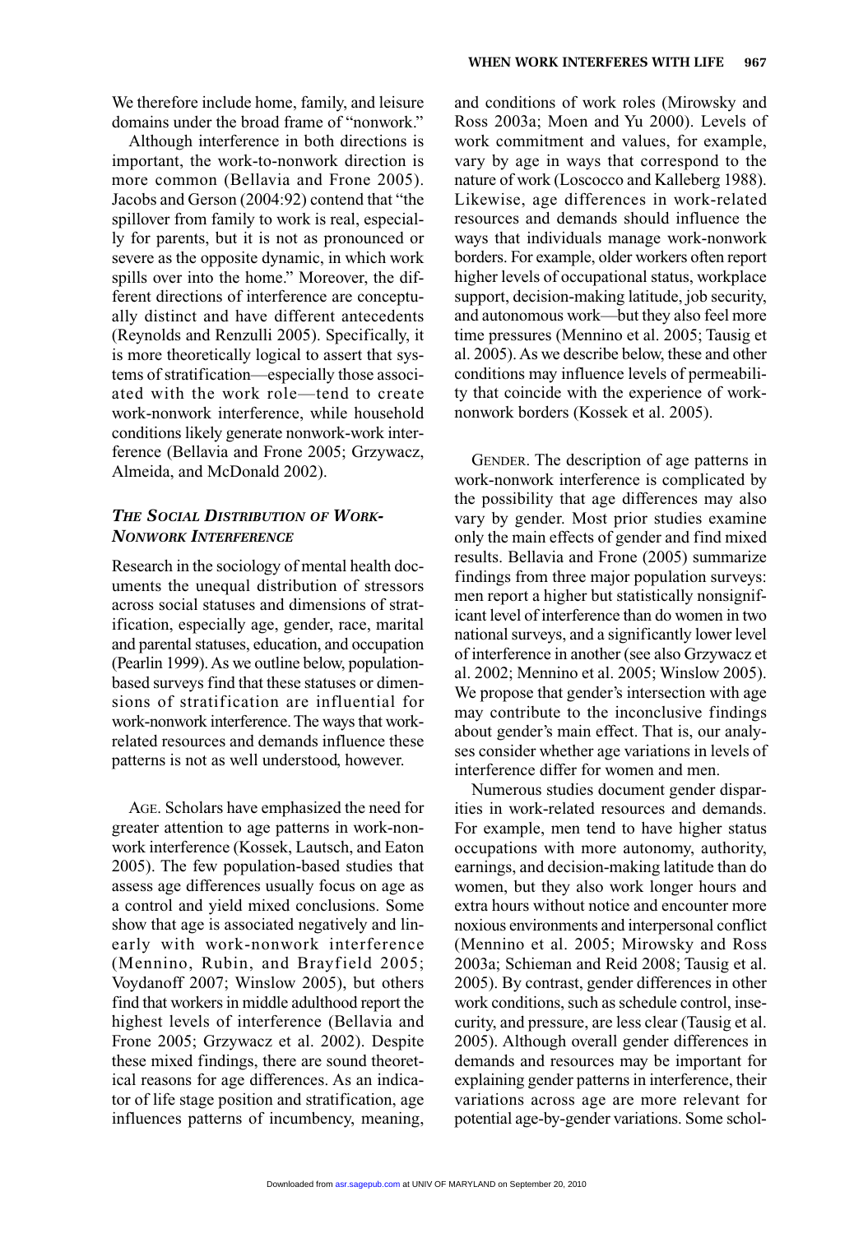We therefore include home, family, and leisure domains under the broad frame of "nonwork."

Although interference in both directions is important, the work-to-nonwork direction is more common (Bellavia and Frone 2005). Jacobs and Gerson (2004:92) contend that "the spillover from family to work is real, especially for parents, but it is not as pronounced or severe as the opposite dynamic, in which work spills over into the home." Moreover, the different directions of interference are conceptually distinct and have different antecedents (Reynolds and Renzulli 2005). Specifically, it is more theoretically logical to assert that systems of stratification—especially those associated with the work role—tend to create work-nonwork interference, while household conditions likely generate nonwork-work interference (Bellavia and Frone 2005; Grzywacz, Almeida, and McDonald 2002).

# *THE SOCIAL DISTRIBUTION OF WORK-NONWORK INTERFERENCE*

Research in the sociology of mental health documents the unequal distribution of stressors across social statuses and dimensions of stratification, especially age, gender, race, marital and parental statuses, education, and occupation (Pearlin 1999). As we outline below, populationbased surveys find that these statuses or dimensions of stratification are influential for work-nonwork interference. The ways that workrelated resources and demands influence these patterns is not as well understood, however.

AGE. Scholars have emphasized the need for greater attention to age patterns in work-nonwork interference (Kossek, Lautsch, and Eaton 2005). The few population-based studies that assess age differences usually focus on age as a control and yield mixed conclusions. Some show that age is associated negatively and linearly with work-nonwork interference (Mennino, Rubin, and Brayfield 2005; Voydanoff 2007; Winslow 2005), but others find that workers in middle adulthood report the highest levels of interference (Bellavia and Frone 2005; Grzywacz et al. 2002). Despite these mixed findings, there are sound theoretical reasons for age differences. As an indicator of life stage position and stratification, age influences patterns of incumbency, meaning,

and conditions of work roles (Mirowsky and Ross 2003a; Moen and Yu 2000). Levels of work commitment and values, for example, vary by age in ways that correspond to the nature of work (Loscocco and Kalleberg 1988). Likewise, age differences in work-related resources and demands should influence the ways that individuals manage work-nonwork borders. For example, older workers often report higher levels of occupational status, workplace support, decision-making latitude, job security, and autonomous work—but they also feel more time pressures (Mennino et al. 2005; Tausig et al. 2005). As we describe below, these and other conditions may influence levels of permeability that coincide with the experience of worknonwork borders (Kossek et al. 2005).

GENDER. The description of age patterns in work-nonwork interference is complicated by the possibility that age differences may also vary by gender. Most prior studies examine only the main effects of gender and find mixed results. Bellavia and Frone (2005) summarize findings from three major population surveys: men report a higher but statistically nonsignificant level of interference than do women in two national surveys, and a significantly lower level of interference in another (see also Grzywacz et al. 2002; Mennino et al. 2005; Winslow 2005). We propose that gender's intersection with age may contribute to the inconclusive findings about gender's main effect. That is, our analyses consider whether age variations in levels of interference differ for women and men.

Numerous studies document gender disparities in work-related resources and demands. For example, men tend to have higher status occupations with more autonomy, authority, earnings, and decision-making latitude than do women, but they also work longer hours and extra hours without notice and encounter more noxious environments and interpersonal conflict (Mennino et al. 2005; Mirowsky and Ross 2003a; Schieman and Reid 2008; Tausig et al. 2005). By contrast, gender differences in other work conditions, such as schedule control, insecurity, and pressure, are less clear (Tausig et al. 2005). Although overall gender differences in demands and resources may be important for explaining gender patterns in interference, their variations across age are more relevant for potential age-by-gender variations. Some schol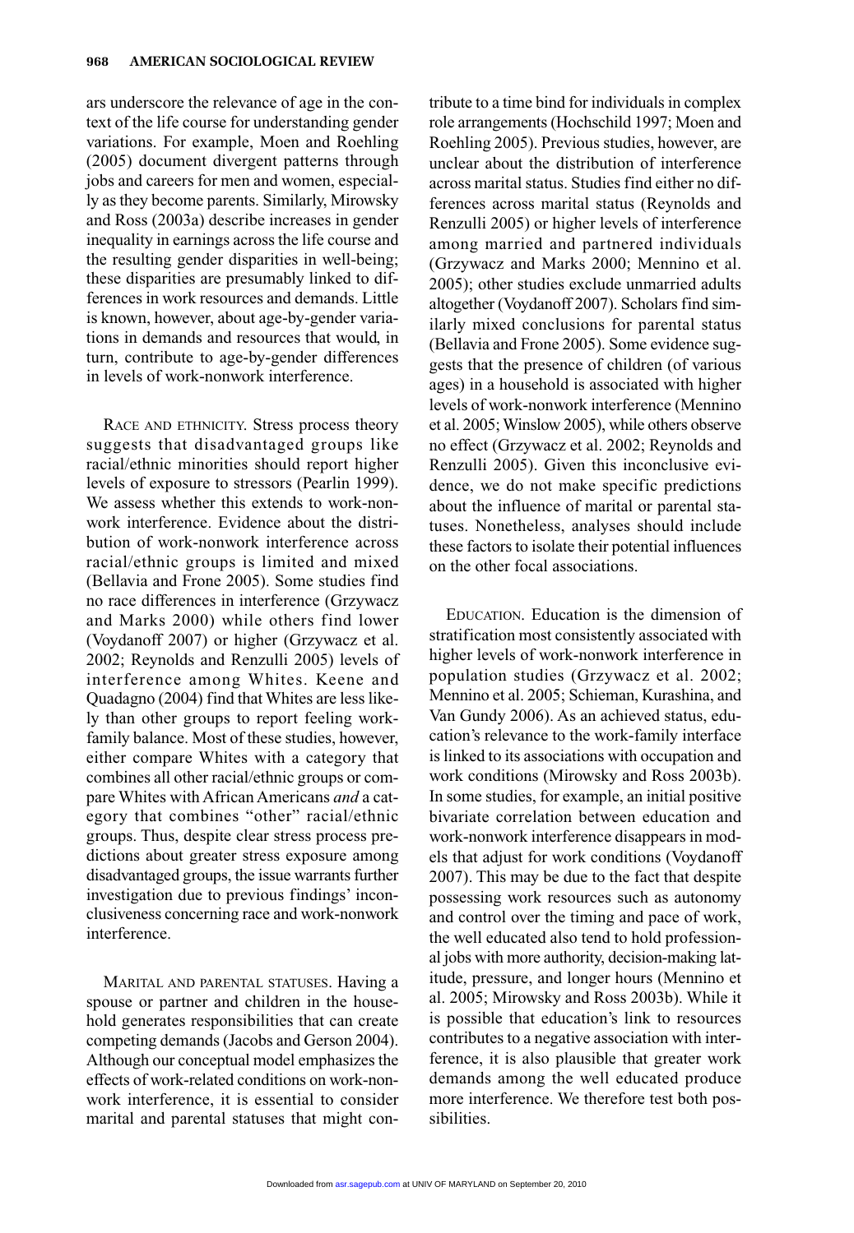ars underscore the relevance of age in the context of the life course for understanding gender variations. For example, Moen and Roehling (2005) document divergent patterns through jobs and careers for men and women, especially as they become parents. Similarly, Mirowsky and Ross (2003a) describe increases in gender inequality in earnings across the life course and the resulting gender disparities in well-being; these disparities are presumably linked to differences in work resources and demands. Little is known, however, about age-by-gender variations in demands and resources that would, in turn, contribute to age-by-gender differences in levels of work-nonwork interference.

RACE AND ETHNICITY. Stress process theory suggests that disadvantaged groups like racial/ethnic minorities should report higher levels of exposure to stressors (Pearlin 1999). We assess whether this extends to work-nonwork interference. Evidence about the distribution of work-nonwork interference across racial/ethnic groups is limited and mixed (Bellavia and Frone 2005). Some studies find no race differences in interference (Grzywacz and Marks 2000) while others find lower (Voydanoff 2007) or higher (Grzywacz et al. 2002; Reynolds and Renzulli 2005) levels of interference among Whites. Keene and Quadagno (2004) find that Whites are less likely than other groups to report feeling workfamily balance. Most of these studies, however, either compare Whites with a category that combines all other racial/ethnic groups or compare Whites with African Americans *and* a category that combines "other" racial/ethnic groups. Thus, despite clear stress process predictions about greater stress exposure among disadvantaged groups, the issue warrants further investigation due to previous findings' inconclusiveness concerning race and work-nonwork interference.

MARITAL AND PARENTAL STATUSES. Having a spouse or partner and children in the household generates responsibilities that can create competing demands (Jacobs and Gerson 2004). Although our conceptual model emphasizes the effects of work-related conditions on work-nonwork interference, it is essential to consider marital and parental statuses that might contribute to a time bind for individuals in complex role arrangements (Hochschild 1997; Moen and Roehling 2005). Previous studies, however, are unclear about the distribution of interference across marital status. Studies find either no differences across marital status (Reynolds and Renzulli 2005) or higher levels of interference among married and partnered individuals (Grzywacz and Marks 2000; Mennino et al. 2005); other studies exclude unmarried adults altogether (Voydanoff 2007). Scholars find similarly mixed conclusions for parental status (Bellavia and Frone 2005). Some evidence suggests that the presence of children (of various ages) in a household is associated with higher levels of work-nonwork interference (Mennino et al. 2005; Winslow 2005), while others observe no effect (Grzywacz et al. 2002; Reynolds and Renzulli 2005). Given this inconclusive evidence, we do not make specific predictions about the influence of marital or parental statuses. Nonetheless, analyses should include these factors to isolate their potential influences on the other focal associations.

EDUCATION. Education is the dimension of stratification most consistently associated with higher levels of work-nonwork interference in population studies (Grzywacz et al. 2002; Mennino et al. 2005; Schieman, Kurashina, and Van Gundy 2006). As an achieved status, education's relevance to the work-family interface is linked to its associations with occupation and work conditions (Mirowsky and Ross 2003b). In some studies, for example, an initial positive bivariate correlation between education and work-nonwork interference disappears in models that adjust for work conditions (Voydanoff 2007). This may be due to the fact that despite possessing work resources such as autonomy and control over the timing and pace of work, the well educated also tend to hold professional jobs with more authority, decision-making latitude, pressure, and longer hours (Mennino et al. 2005; Mirowsky and Ross 2003b). While it is possible that education's link to resources contributes to a negative association with interference, it is also plausible that greater work demands among the well educated produce more interference. We therefore test both possibilities.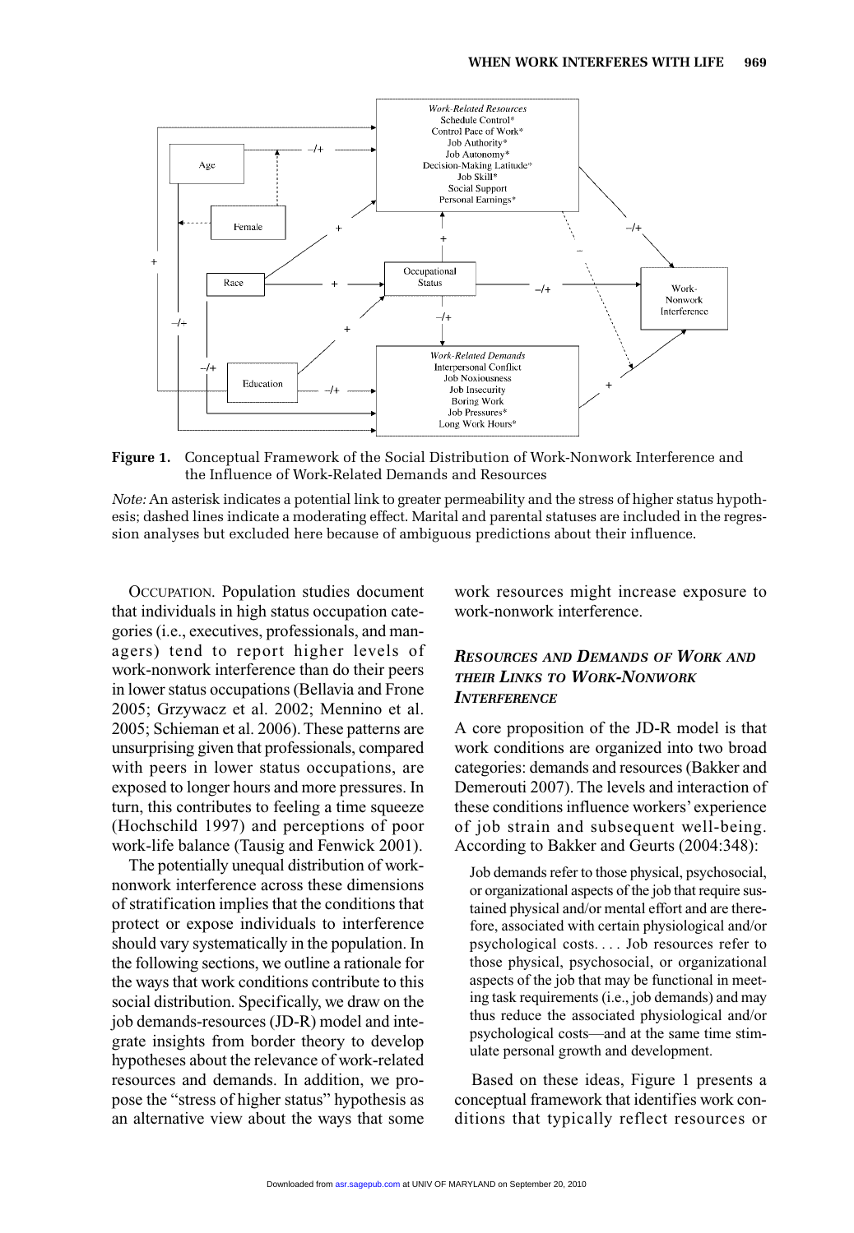

**Figure 1.** Conceptual Framework of the Social Distribution of Work-Nonwork Interference and the Influence of Work-Related Demands and Resources

*Note:* An asterisk indicates a potential link to greater permeability and the stress of higher status hypothesis; dashed lines indicate a moderating effect. Marital and parental statuses are included in the regression analyses but excluded here because of ambiguous predictions about their influence.

OCCUPATION. Population studies document that individuals in high status occupation categories (i.e., executives, professionals, and managers) tend to report higher levels of work-nonwork interference than do their peers in lower status occupations (Bellavia and Frone 2005; Grzywacz et al. 2002; Mennino et al. 2005; Schieman et al. 2006). These patterns are unsurprising given that professionals, compared with peers in lower status occupations, are exposed to longer hours and more pressures. In turn, this contributes to feeling a time squeeze (Hochschild 1997) and perceptions of poor work-life balance (Tausig and Fenwick 2001).

The potentially unequal distribution of worknonwork interference across these dimensions of stratification implies that the conditions that protect or expose individuals to interference should vary systematically in the population. In the following sections, we outline a rationale for the ways that work conditions contribute to this social distribution. Specifically, we draw on the job demands-resources (JD-R) model and integrate insights from border theory to develop hypotheses about the relevance of work-related resources and demands. In addition, we propose the "stress of higher status" hypothesis as an alternative view about the ways that some work resources might increase exposure to work-nonwork interference.

# *RESOURCES AND DEMANDS OF WORK AND THEIR LINKS TO WORK-NONWORK INTERFERENCE*

A core proposition of the JD-R model is that work conditions are organized into two broad categories: demands and resources (Bakker and Demerouti 2007). The levels and interaction of these conditions influence workers' experience of job strain and subsequent well-being. According to Bakker and Geurts (2004:348):

Job demands refer to those physical, psychosocial, or organizational aspects of the job that require sustained physical and/or mental effort and are therefore, associated with certain physiological and/or psychological costs.... Job resources refer to those physical, psychosocial, or organizational aspects of the job that may be functional in meeting task requirements (i.e., job demands) and may thus reduce the associated physiological and/or psychological costs—and at the same time stimulate personal growth and development.

Based on these ideas, Figure 1 presents a conceptual framework that identifies work conditions that typically reflect resources or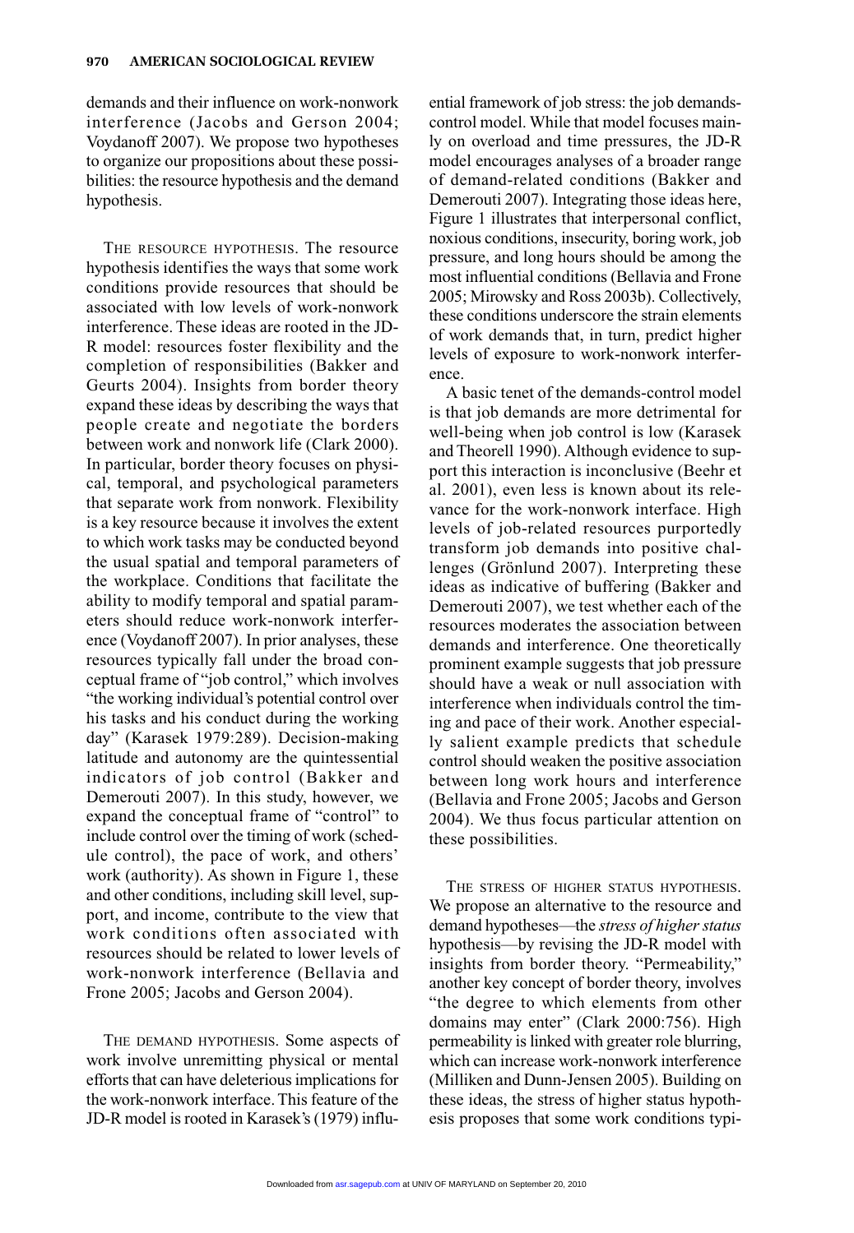demands and their influence on work-nonwork interference (Jacobs and Gerson 2004; Voydanoff 2007). We propose two hypotheses to organize our propositions about these possibilities: the resource hypothesis and the demand hypothesis.

THE RESOURCE HYPOTHESIS. The resource hypothesis identifies the ways that some work conditions provide resources that should be associated with low levels of work-nonwork interference. These ideas are rooted in the JD-R model: resources foster flexibility and the completion of responsibilities (Bakker and Geurts 2004). Insights from border theory expand these ideas by describing the ways that people create and negotiate the borders between work and nonwork life (Clark 2000). In particular, border theory focuses on physical, temporal, and psychological parameters that separate work from nonwork. Flexibility is a key resource because it involves the extent to which work tasks may be conducted beyond the usual spatial and temporal parameters of the workplace. Conditions that facilitate the ability to modify temporal and spatial parameters should reduce work-nonwork interference (Voydanoff 2007). In prior analyses, these resources typically fall under the broad conceptual frame of "job control," which involves "the working individual's potential control over his tasks and his conduct during the working day" (Karasek 1979:289). Decision-making latitude and autonomy are the quintessential indicators of job control (Bakker and Demerouti 2007). In this study, however, we expand the conceptual frame of "control" to include control over the timing of work (schedule control), the pace of work, and others' work (authority). As shown in Figure 1, these and other conditions, including skill level, support, and income, contribute to the view that work conditions often associated with resources should be related to lower levels of work-nonwork interference (Bellavia and Frone 2005; Jacobs and Gerson 2004).

THE DEMAND HYPOTHESIS. Some aspects of work involve unremitting physical or mental efforts that can have deleterious implications for the work-nonwork interface. This feature of the JD-R model is rooted in Karasek's (1979) influ-

ential framework of job stress: the job demandscontrol model. While that model focuses mainly on overload and time pressures, the JD-R model encourages analyses of a broader range of demand-related conditions (Bakker and Demerouti 2007). Integrating those ideas here, Figure 1 illustrates that interpersonal conflict, noxious conditions, insecurity, boring work, job pressure, and long hours should be among the most influential conditions (Bellavia and Frone 2005; Mirowsky and Ross 2003b). Collectively, these conditions underscore the strain elements of work demands that, in turn, predict higher levels of exposure to work-nonwork interference.

A basic tenet of the demands-control model is that job demands are more detrimental for well-being when job control is low (Karasek and Theorell 1990). Although evidence to support this interaction is inconclusive (Beehr et al. 2001), even less is known about its relevance for the work-nonwork interface. High levels of job-related resources purportedly transform job demands into positive challenges (Grönlund 2007). Interpreting these ideas as indicative of buffering (Bakker and Demerouti 2007), we test whether each of the resources moderates the association between demands and interference. One theoretically prominent example suggests that job pressure should have a weak or null association with interference when individuals control the timing and pace of their work. Another especially salient example predicts that schedule control should weaken the positive association between long work hours and interference (Bellavia and Frone 2005; Jacobs and Gerson 2004). We thus focus particular attention on these possibilities.

THE STRESS OF HIGHER STATUS HYPOTHESIS. We propose an alternative to the resource and demand hypotheses—the *stress of higher status* hypothesis—by revising the JD-R model with insights from border theory. "Permeability," another key concept of border theory, involves "the degree to which elements from other domains may enter" (Clark 2000:756). High permeability is linked with greater role blurring, which can increase work-nonwork interference (Milliken and Dunn-Jensen 2005). Building on these ideas, the stress of higher status hypothesis proposes that some work conditions typi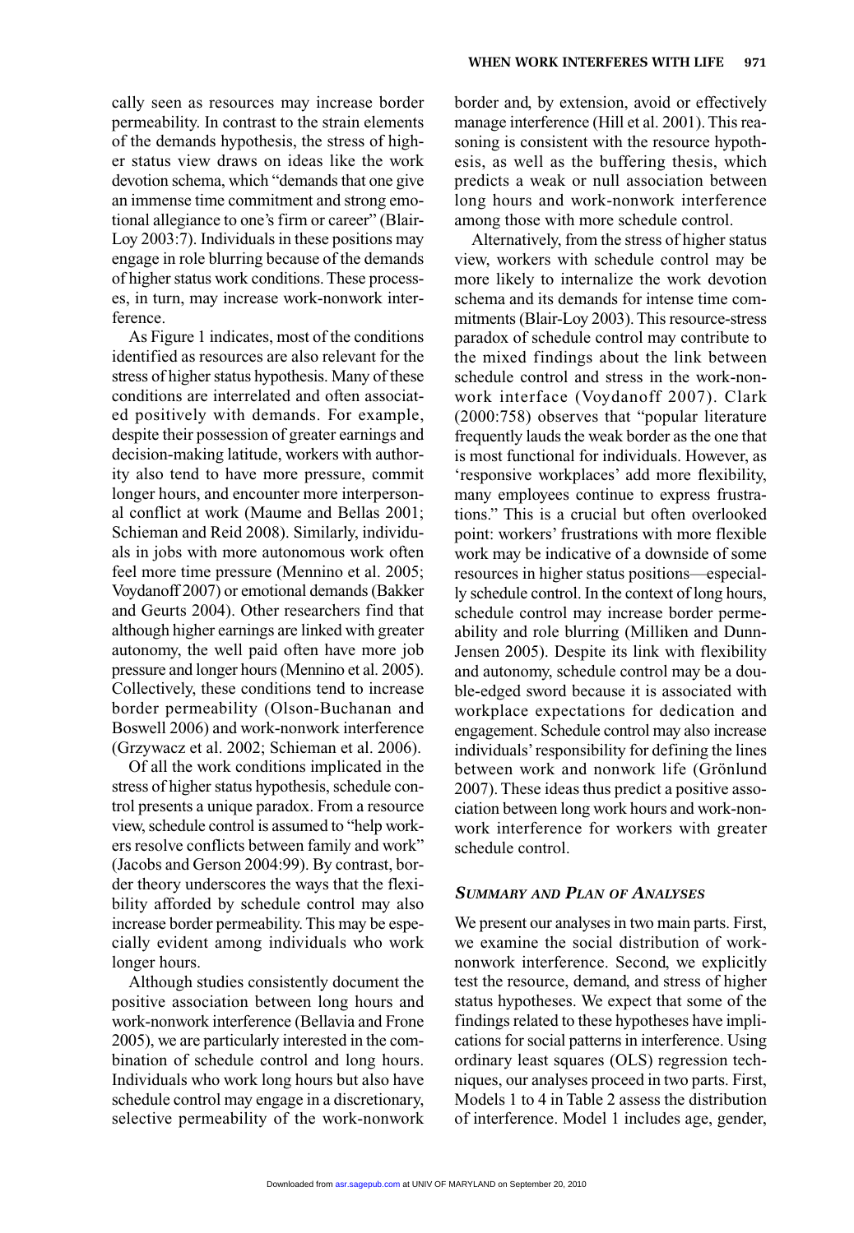cally seen as resources may increase border permeability. In contrast to the strain elements of the demands hypothesis, the stress of higher status view draws on ideas like the work devotion schema, which "demands that one give an immense time commitment and strong emotional allegiance to one's firm or career" (Blair-Loy 2003:7). Individuals in these positions may engage in role blurring because of the demands of higher status work conditions. These processes, in turn, may increase work-nonwork interference.

As Figure 1 indicates, most of the conditions identified as resources are also relevant for the stress of higher status hypothesis. Many of these conditions are interrelated and often associated positively with demands. For example, despite their possession of greater earnings and decision-making latitude, workers with authority also tend to have more pressure, commit longer hours, and encounter more interpersonal conflict at work (Maume and Bellas 2001; Schieman and Reid 2008). Similarly, individuals in jobs with more autonomous work often feel more time pressure (Mennino et al. 2005; Voydanoff 2007) or emotional demands (Bakker and Geurts 2004). Other researchers find that although higher earnings are linked with greater autonomy, the well paid often have more job pressure and longer hours (Mennino et al. 2005). Collectively, these conditions tend to increase border permeability (Olson-Buchanan and Boswell 2006) and work-nonwork interference (Grzywacz et al. 2002; Schieman et al. 2006).

Of all the work conditions implicated in the stress of higher status hypothesis, schedule control presents a unique paradox. From a resource view, schedule control is assumed to "help workers resolve conflicts between family and work" (Jacobs and Gerson 2004:99). By contrast, border theory underscores the ways that the flexibility afforded by schedule control may also increase border permeability. This may be especially evident among individuals who work longer hours.

Although studies consistently document the positive association between long hours and work-nonwork interference (Bellavia and Frone 2005), we are particularly interested in the combination of schedule control and long hours. Individuals who work long hours but also have schedule control may engage in a discretionary, selective permeability of the work-nonwork border and, by extension, avoid or effectively manage interference (Hill et al. 2001). This reasoning is consistent with the resource hypothesis, as well as the buffering thesis, which predicts a weak or null association between long hours and work-nonwork interference among those with more schedule control.

Alternatively, from the stress of higher status view, workers with schedule control may be more likely to internalize the work devotion schema and its demands for intense time commitments (Blair-Loy 2003). This resource-stress paradox of schedule control may contribute to the mixed findings about the link between schedule control and stress in the work-nonwork interface (Voydanoff 2007). Clark (2000:758) observes that "popular literature frequently lauds the weak border as the one that is most functional for individuals. However, as 'responsive workplaces' add more flexibility, many employees continue to express frustrations." This is a crucial but often overlooked point: workers' frustrations with more flexible work may be indicative of a downside of some resources in higher status positions—especially schedule control. In the context of long hours, schedule control may increase border permeability and role blurring (Milliken and Dunn-Jensen 2005). Despite its link with flexibility and autonomy, schedule control may be a double-edged sword because it is associated with workplace expectations for dedication and engagement. Schedule control may also increase individuals'responsibility for defining the lines between work and nonwork life (Grönlund 2007). These ideas thus predict a positive association between long work hours and work-nonwork interference for workers with greater schedule control.

#### *SUMMARY AND PLAN OF ANALYSES*

We present our analyses in two main parts. First, we examine the social distribution of worknonwork interference. Second, we explicitly test the resource, demand, and stress of higher status hypotheses. We expect that some of the findings related to these hypotheses have implications for social patterns in interference. Using ordinary least squares (OLS) regression techniques, our analyses proceed in two parts. First, Models 1 to 4 in Table 2 assess the distribution of interference. Model 1 includes age, gender,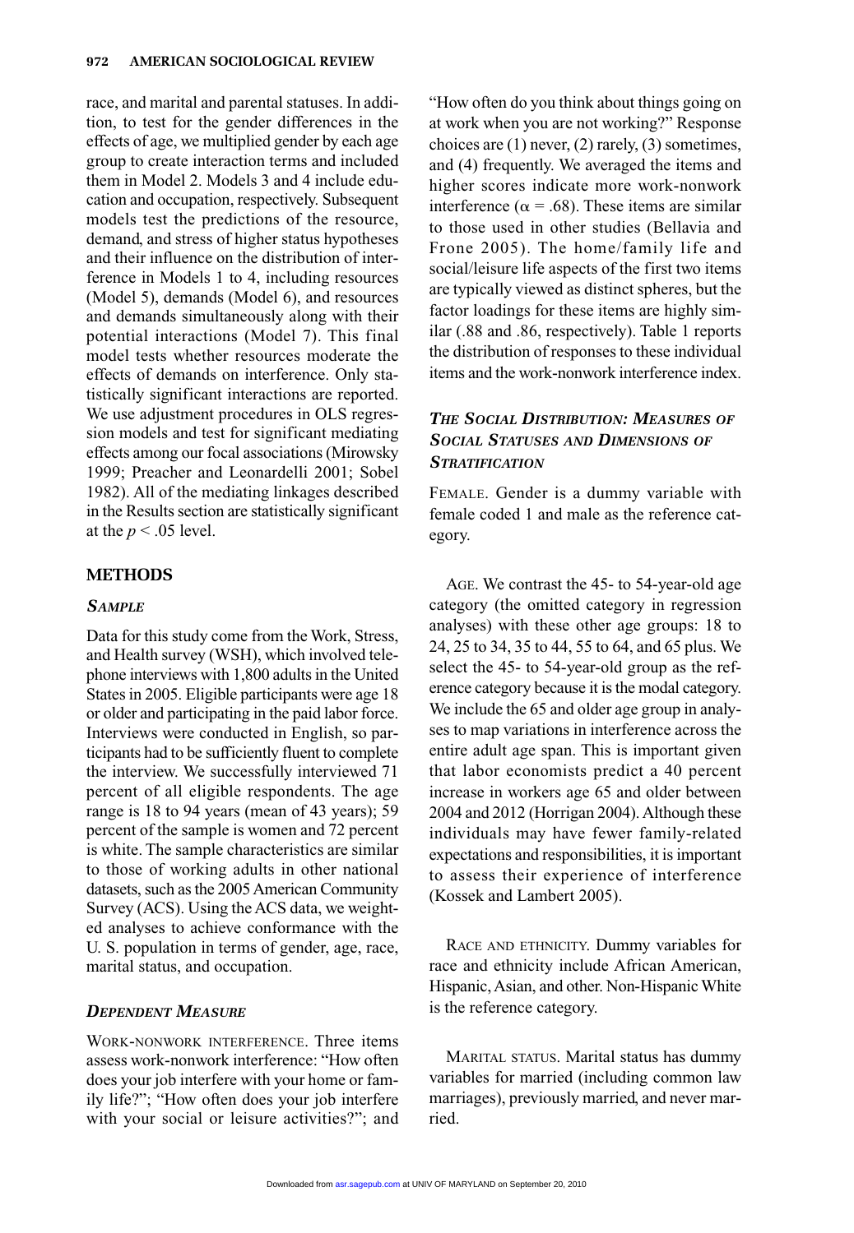race, and marital and parental statuses. In addition, to test for the gender differences in the effects of age, we multiplied gender by each age group to create interaction terms and included them in Model 2. Models 3 and 4 include education and occupation, respectively. Subsequent models test the predictions of the resource, demand, and stress of higher status hypotheses and their influence on the distribution of interference in Models 1 to 4, including resources (Model 5), demands (Model 6), and resources and demands simultaneously along with their potential interactions (Model 7). This final model tests whether resources moderate the effects of demands on interference. Only statistically significant interactions are reported. We use adjustment procedures in OLS regression models and test for significant mediating effects among our focal associations (Mirowsky 1999; Preacher and Leonardelli 2001; Sobel 1982). All of the mediating linkages described in the Results section are statistically significant at the  $p < .05$  level.

## **METHODS**

### *SAMPLE*

Data for this study come from the Work, Stress, and Health survey (WSH), which involved telephone interviews with 1,800 adults in the United States in 2005. Eligible participants were age 18 or older and participating in the paid labor force. Interviews were conducted in English, so participants had to be sufficiently fluent to complete the interview. We successfully interviewed 71 percent of all eligible respondents. The age range is 18 to 94 years (mean of 43 years); 59 percent of the sample is women and 72 percent is white. The sample characteristics are similar to those of working adults in other national datasets, such as the 2005 American Community Survey (ACS). Using the ACS data, we weighted analyses to achieve conformance with the U. S. population in terms of gender, age, race, marital status, and occupation.

#### *DEPENDENT MEASURE*

WORK-NONWORK INTERFERENCE. Three items assess work-nonwork interference: "How often does your job interfere with your home or family life?"; "How often does your job interfere with your social or leisure activities?"; and "How often do you think about things going on at work when you are not working?" Response choices are  $(1)$  never,  $(2)$  rarely,  $(3)$  sometimes, and (4) frequently. We averaged the items and higher scores indicate more work-nonwork interference ( $\alpha$  = .68). These items are similar to those used in other studies (Bellavia and Frone 2005). The home/family life and social/leisure life aspects of the first two items are typically viewed as distinct spheres, but the factor loadings for these items are highly similar (.88 and .86, respectively). Table 1 reports the distribution of responses to these individual items and the work-nonwork interference index.

# *THE SOCIAL DISTRIBUTION: MEASURES OF SOCIAL STATUSES AND DIMENSIONS OF STRATIFICATION*

FEMALE. Gender is a dummy variable with female coded 1 and male as the reference category.

AGE. We contrast the 45- to 54-year-old age category (the omitted category in regression analyses) with these other age groups: 18 to 24, 25 to 34, 35 to 44, 55 to 64, and 65 plus. We select the 45- to 54-year-old group as the reference category because it is the modal category. We include the 65 and older age group in analyses to map variations in interference across the entire adult age span. This is important given that labor economists predict a 40 percent increase in workers age 65 and older between 2004 and 2012 (Horrigan 2004). Although these individuals may have fewer family-related expectations and responsibilities, it is important to assess their experience of interference (Kossek and Lambert 2005).

RACE AND ETHNICITY. Dummy variables for race and ethnicity include African American, Hispanic, Asian, and other. Non-Hispanic White is the reference category.

MARITAL STATUS. Marital status has dummy variables for married (including common law marriages), previously married, and never married.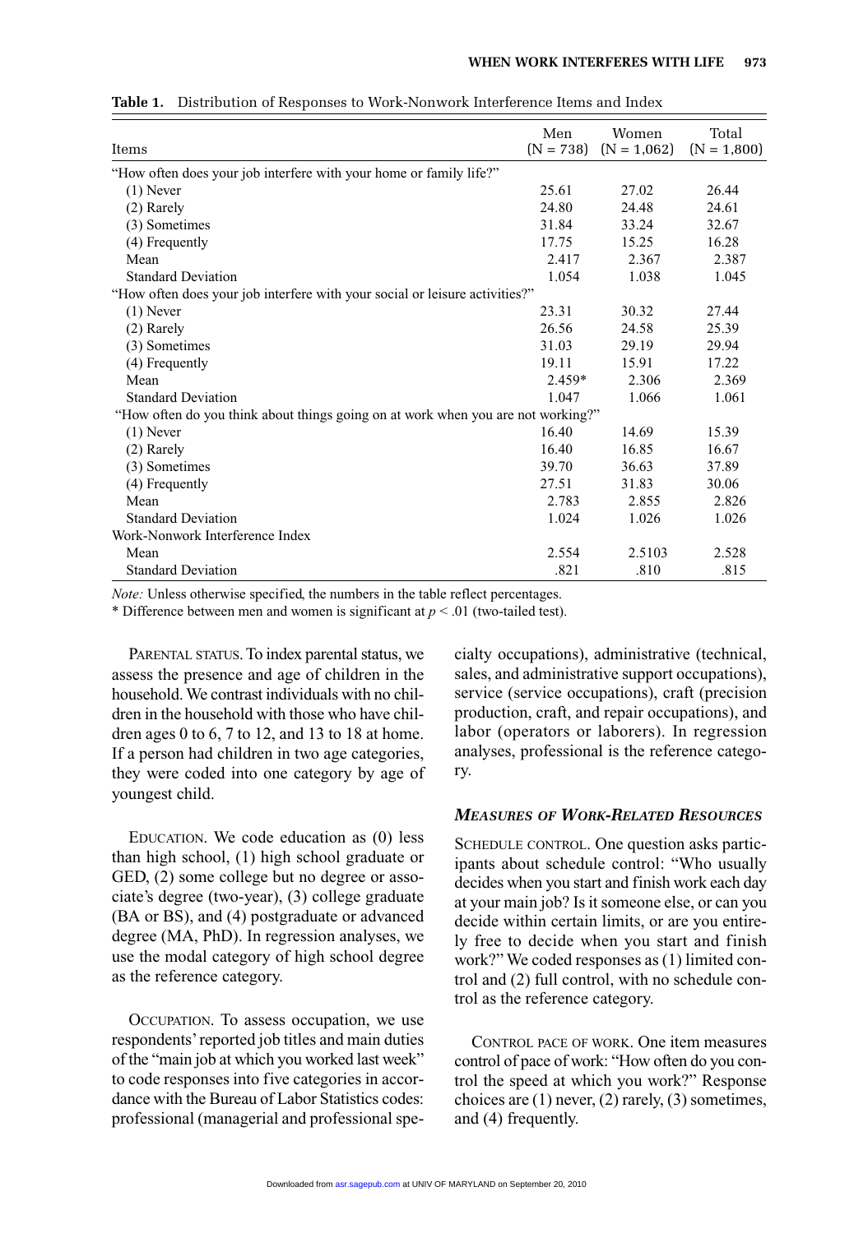| Items                                                                            | Men<br>$(N = 738)$ | Women<br>$(N = 1.062)$ | Total<br>$(N = 1,800)$ |
|----------------------------------------------------------------------------------|--------------------|------------------------|------------------------|
| "How often does your job interfere with your home or family life?"               |                    |                        |                        |
| $(1)$ Never                                                                      | 25.61              | 27.02                  | 26.44                  |
| $(2)$ Rarely                                                                     | 24.80              | 24.48                  | 24.61                  |
| (3) Sometimes                                                                    | 31.84              | 33.24                  | 32.67                  |
| (4) Frequently                                                                   | 17.75              | 15.25                  | 16.28                  |
| Mean                                                                             | 2.417              | 2.367                  | 2.387                  |
| <b>Standard Deviation</b>                                                        | 1.054              | 1.038                  | 1.045                  |
| "How often does your job interfere with your social or leisure activities?"      |                    |                        |                        |
| $(1)$ Never                                                                      | 23.31              | 30.32                  | 27.44                  |
| (2) Rarely                                                                       | 26.56              | 24.58                  | 25.39                  |
| (3) Sometimes                                                                    | 31.03              | 29.19                  | 29.94                  |
| (4) Frequently                                                                   | 19.11              | 15.91                  | 17.22                  |
| Mean                                                                             | $2.459*$           | 2.306                  | 2.369                  |
| <b>Standard Deviation</b>                                                        | 1.047              | 1.066                  | 1.061                  |
| "How often do you think about things going on at work when you are not working?" |                    |                        |                        |
| $(1)$ Never                                                                      | 16.40              | 14.69                  | 15.39                  |
| (2) Rarely                                                                       | 16.40              | 16.85                  | 16.67                  |
| (3) Sometimes                                                                    | 39.70              | 36.63                  | 37.89                  |
| (4) Frequently                                                                   | 27.51              | 31.83                  | 30.06                  |
| Mean                                                                             | 2.783              | 2.855                  | 2.826                  |
| <b>Standard Deviation</b>                                                        | 1.024              | 1.026                  | 1.026                  |
| Work-Nonwork Interference Index                                                  |                    |                        |                        |
| Mean                                                                             | 2.554              | 2.5103                 | 2.528                  |
| <b>Standard Deviation</b>                                                        | .821               | .810                   | .815                   |

**Table 1.** Distribution of Responses to Work-Nonwork Interference Items and Index

*Note:* Unless otherwise specified, the numbers in the table reflect percentages.

\* Difference between men and women is significant at *p* < .01 (two-tailed test).

PARENTAL STATUS. To index parental status, we assess the presence and age of children in the household. We contrast individuals with no children in the household with those who have children ages 0 to 6, 7 to 12, and 13 to 18 at home. If a person had children in two age categories, they were coded into one category by age of youngest child.

EDUCATION. We code education as (0) less than high school, (1) high school graduate or GED, (2) some college but no degree or associate's degree (two-year), (3) college graduate (BA or BS), and (4) postgraduate or advanced degree (MA, PhD). In regression analyses, we use the modal category of high school degree as the reference category.

OCCUPATION. To assess occupation, we use respondents'reported job titles and main duties of the "main job at which you worked last week" to code responses into five categories in accordance with the Bureau of Labor Statistics codes: professional (managerial and professional specialty occupations), administrative (technical, sales, and administrative support occupations), service (service occupations), craft (precision production, craft, and repair occupations), and labor (operators or laborers). In regression analyses, professional is the reference category.

#### *MEASURES OF WORK-RELATED RESOURCES*

SCHEDULE CONTROL. One question asks participants about schedule control: "Who usually decides when you start and finish work each day at your main job? Is it someone else, or can you decide within certain limits, or are you entirely free to decide when you start and finish work?" We coded responses as (1) limited control and (2) full control, with no schedule control as the reference category.

CONTROL PACE OF WORK. One item measures control of pace of work: "How often do you control the speed at which you work?" Response choices are (1) never, (2) rarely, (3) sometimes, and (4) frequently.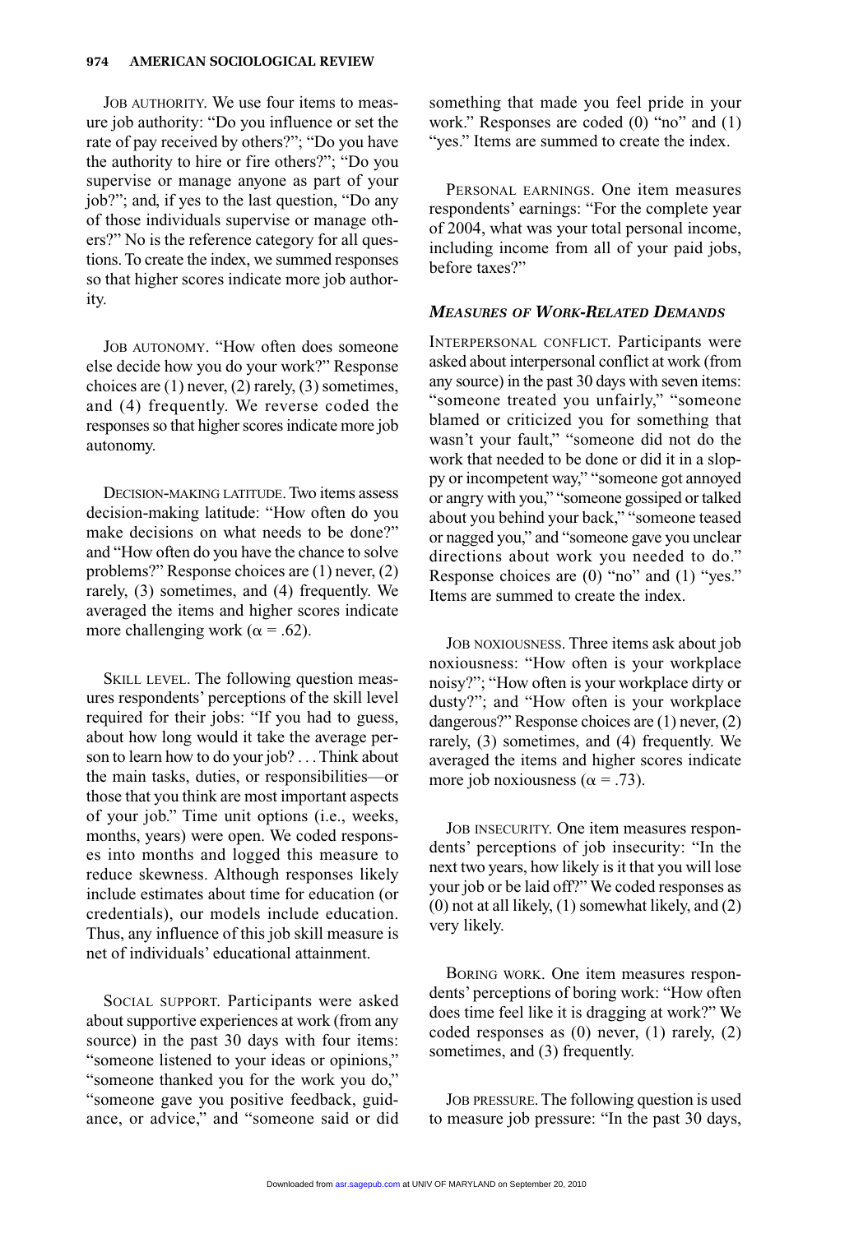JOB AUTHORITY. We use four items to measure job authority: "Do you influence or set the rate of pay received by others?"; "Do you have the authority to hire or fire others?"; "Do you supervise or manage anyone as part of your job?"; and, if yes to the last question, "Do any of those individuals supervise or manage others?" No is the reference category for all questions. To create the index, we summed responses so that higher scores indicate more job authority.

JOB AUTONOMY. "How often does someone else decide how you do your work?" Response choices are (1) never, (2) rarely, (3) sometimes, and (4) frequently. We reverse coded the responses so that higher scores indicate more job autonomy.

DECISION-MAKING LATITUDE. Two items assess decision-making latitude: "How often do you make decisions on what needs to be done?" and "How often do you have the chance to solve problems?" Response choices are (1) never, (2) rarely, (3) sometimes, and (4) frequently. We averaged the items and higher scores indicate more challenging work ( $\alpha$  = .62).

SKILL LEVEL. The following question measures respondents' perceptions of the skill level required for their jobs: "If you had to guess, about how long would it take the average person to learn how to do your job? ... Think about the main tasks, duties, or responsibilities—or those that you think are most important aspects of your job." Time unit options (i.e., weeks, months, years) were open. We coded responses into months and logged this measure to reduce skewness. Although responses likely include estimates about time for education (or credentials), our models include education. Thus, any influence of this job skill measure is net of individuals' educational attainment.

SOCIAL SUPPORT. Participants were asked about supportive experiences at work (from any source) in the past 30 days with four items: "someone listened to your ideas or opinions," "someone thanked you for the work you do," "someone gave you positive feedback, guidance, or advice," and "someone said or did something that made you feel pride in your work." Responses are coded (0) "no" and (1) "yes." Items are summed to create the index.

PERSONAL EARNINGS. One item measures respondents' earnings: "For the complete year of 2004, what was your total personal income, including income from all of your paid jobs, before taxes?"

#### *MEASURES OF WORK-RELATED DEMANDS*

INTERPERSONAL CONFLICT. Participants were asked about interpersonal conflict at work (from any source) in the past 30 days with seven items: "someone treated you unfairly," "someone blamed or criticized you for something that wasn't your fault," "someone did not do the work that needed to be done or did it in a sloppy or incompetent way," "someone got annoyed or angry with you," "someone gossiped or talked about you behind your back," "someone teased or nagged you," and "someone gave you unclear directions about work you needed to do." Response choices are (0) "no" and (1) "yes." Items are summed to create the index.

JOB NOXIOUSNESS. Three items ask about job noxiousness: "How often is your workplace noisy?"; "How often is your workplace dirty or dusty?"; and "How often is your workplace dangerous?" Response choices are (1) never, (2) rarely, (3) sometimes, and (4) frequently. We averaged the items and higher scores indicate more job noxiousness ( $\alpha$  = .73).

JOB INSECURITY. One item measures respondents' perceptions of job insecurity: "In the next two years, how likely is it that you will lose your job or be laid off?" We coded responses as (0) not at all likely, (1) somewhat likely, and (2) very likely.

BORING WORK. One item measures respondents' perceptions of boring work: "How often does time feel like it is dragging at work?" We coded responses as (0) never, (1) rarely, (2) sometimes, and (3) frequently.

JOB PRESSURE. The following question is used to measure job pressure: "In the past 30 days,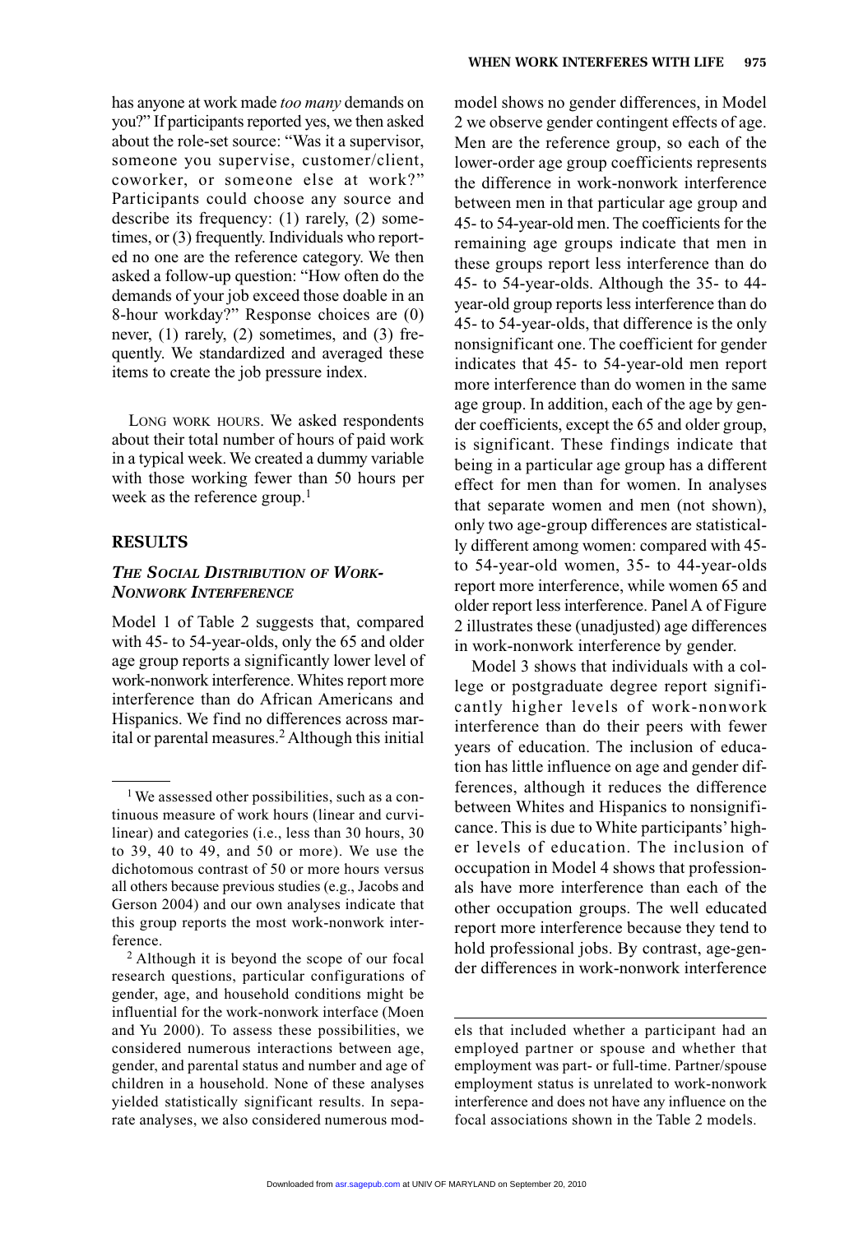has anyone at work made *too many* demands on you?" If participants reported yes, we then asked about the role-set source: "Was it a supervisor, someone you supervise, customer/client, coworker, or someone else at work?" Participants could choose any source and describe its frequency: (1) rarely, (2) sometimes, or (3) frequently. Individuals who reported no one are the reference category. We then asked a follow-up question: "How often do the demands of your job exceed those doable in an 8-hour workday?" Response choices are (0) never, (1) rarely, (2) sometimes, and (3) frequently. We standardized and averaged these items to create the job pressure index.

LONG WORK HOURS. We asked respondents about their total number of hours of paid work in a typical week. We created a dummy variable with those working fewer than 50 hours per week as the reference group. $<sup>1</sup>$ </sup>

#### **RESULTS**

## *THE SOCIAL DISTRIBUTION OF WORK-NONWORK INTERFERENCE*

Model 1 of Table 2 suggests that, compared with 45- to 54-year-olds, only the 65 and older age group reports a significantly lower level of work-nonwork interference. Whites report more interference than do African Americans and Hispanics. We find no differences across marital or parental measures.<sup>2</sup> Although this initial model shows no gender differences, in Model 2 we observe gender contingent effects of age. Men are the reference group, so each of the lower-order age group coefficients represents the difference in work-nonwork interference between men in that particular age group and 45- to 54-year-old men. The coefficients for the remaining age groups indicate that men in these groups report less interference than do 45- to 54-year-olds. Although the 35- to 44 year-old group reports less interference than do 45- to 54-year-olds, that difference is the only nonsignificant one. The coefficient for gender indicates that 45- to 54-year-old men report more interference than do women in the same age group. In addition, each of the age by gender coefficients, except the 65 and older group, is significant. These findings indicate that being in a particular age group has a different effect for men than for women. In analyses that separate women and men (not shown), only two age-group differences are statistically different among women: compared with 45 to 54-year-old women, 35- to 44-year-olds report more interference, while women 65 and older report less interference. Panel A of Figure 2 illustrates these (unadjusted) age differences in work-nonwork interference by gender.

Model 3 shows that individuals with a college or postgraduate degree report significantly higher levels of work-nonwork interference than do their peers with fewer years of education. The inclusion of education has little influence on age and gender differences, although it reduces the difference between Whites and Hispanics to nonsignificance. This is due to White participants' higher levels of education. The inclusion of occupation in Model 4 shows that professionals have more interference than each of the other occupation groups. The well educated report more interference because they tend to hold professional jobs. By contrast, age-gender differences in work-nonwork interference

<sup>&</sup>lt;sup>1</sup> We assessed other possibilities, such as a continuous measure of work hours (linear and curvilinear) and categories (i.e., less than 30 hours, 30 to 39, 40 to 49, and 50 or more). We use the dichotomous contrast of 50 or more hours versus all others because previous studies (e.g., Jacobs and Gerson 2004) and our own analyses indicate that this group reports the most work-nonwork interference. 2 Although it is beyond the scope of our focal

research questions, particular configurations of gender, age, and household conditions might be influential for the work-nonwork interface (Moen and Yu 2000). To assess these possibilities, we considered numerous interactions between age, gender, and parental status and number and age of children in a household. None of these analyses yielded statistically significant results. In separate analyses, we also considered numerous mod-

els that included whether a participant had an employed partner or spouse and whether that employment was part- or full-time. Partner/spouse employment status is unrelated to work-nonwork interference and does not have any influence on the focal associations shown in the Table 2 models.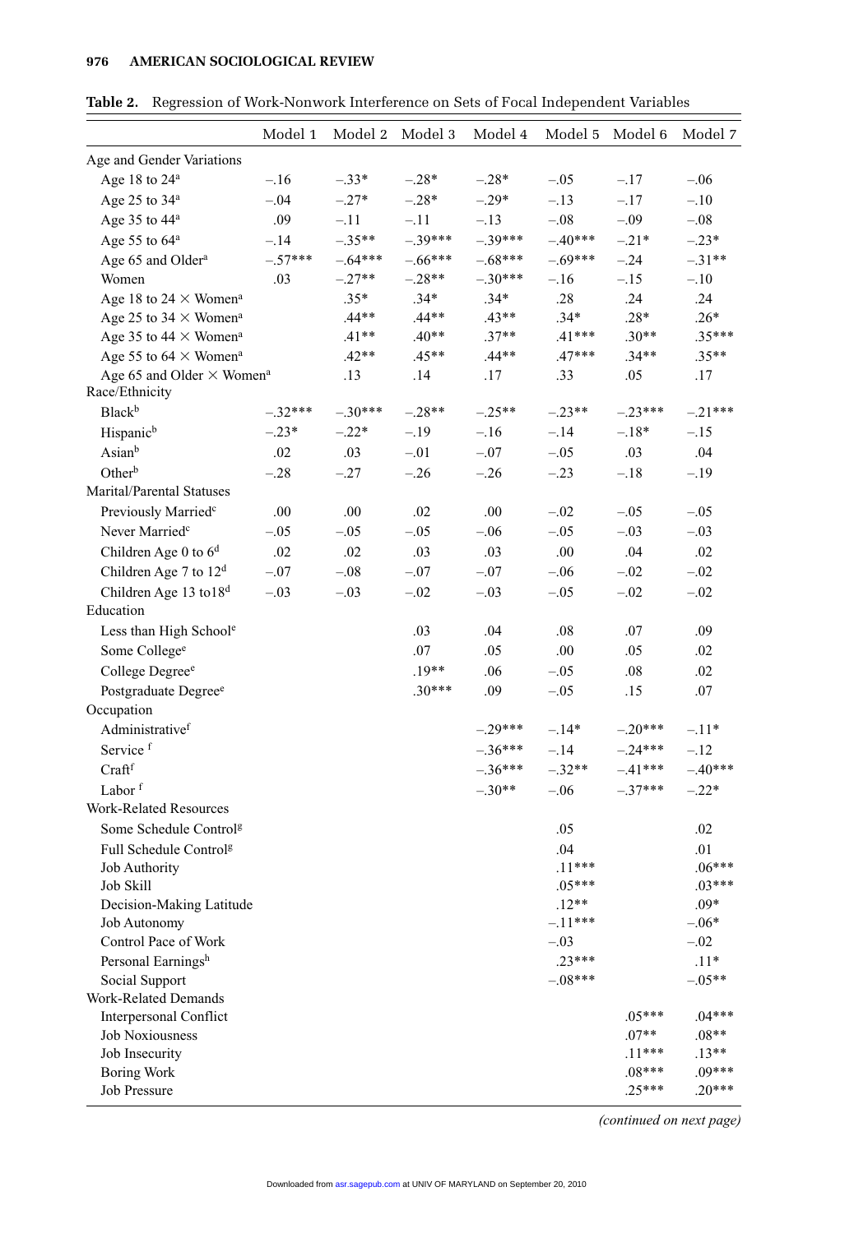#### **976—–AMERICAN SOCIOLOGICAL REVIEW**

|                                                  | Model 1   | Model 2   | Model 3   | Model 4   | Model 5   | Model 6             | Model 7             |
|--------------------------------------------------|-----------|-----------|-----------|-----------|-----------|---------------------|---------------------|
| Age and Gender Variations                        |           |           |           |           |           |                     |                     |
| Age 18 to 24 <sup>a</sup>                        | $-.16$    | $-.33*$   | $-.28*$   | $-.28*$   | $-.05$    | $-.17$              | $-.06$              |
| Age 25 to 34 <sup>a</sup>                        | $-.04$    | $-.27*$   | $-.28*$   | $-.29*$   | $-.13$    | $-.17$              | $-.10$              |
| Age 35 to 44 <sup>a</sup>                        | .09       | $-.11$    | $-.11$    | $-.13$    | $-.08$    | $-.09$              | $-.08$              |
| Age 55 to 64 <sup>a</sup>                        | $-.14$    | $-.35**$  | $-.39***$ | $-.39***$ | $-.40***$ | $-.21*$             | $-.23*$             |
| Age 65 and Older <sup>a</sup>                    | $-.57***$ | $-.64***$ | $-66***$  | $-.68***$ | $-.69***$ | $-.24$              | $-.31**$            |
| Women                                            | .03       | $-.27**$  | $-.28**$  | $-.30***$ | $-.16$    | $-.15$              | $-.10$              |
| Age 18 to 24 $\times$ Women <sup>a</sup>         |           | $.35*$    | $.34*$    | $.34*$    | .28       | .24                 | .24                 |
| Age 25 to 34 $\times$ Women <sup>a</sup>         |           | $.44**$   | $.44**$   | $.43**$   | $.34*$    | $.28*$              | $.26*$              |
| Age 35 to 44 $\times$ Women <sup>a</sup>         |           | $.41**$   | $.40**$   | $.37**$   | $.41***$  | $.30**$             | $.35***$            |
| Age 55 to 64 $\times$ Women <sup>a</sup>         |           | $.42**$   | $.45**$   | $.44**$   | $.47***$  | $.34**$             | $.35**$             |
| Age 65 and Older $\times$ Women <sup>a</sup>     |           | .13       | .14       | .17       | .33       | .05                 | .17                 |
| Race/Ethnicity                                   |           |           |           |           |           |                     |                     |
| <b>Black</b> <sup>b</sup>                        | $-.32***$ | $-.30***$ | $-.28**$  | $-.25**$  | $-.23**$  | $-.23***$           | $-.21***$           |
| Hispanic <sup>b</sup>                            | $-.23*$   | $-.22*$   | $-.19$    | $-.16$    | $-.14$    | $-.18*$             | $-.15$              |
| Asianb                                           | .02       | .03       | $-.01$    | $-.07$    | $-.05$    | .03                 | .04                 |
| Other <sup>b</sup>                               | $-.28$    | $-.27$    | $-.26$    | $-.26$    | $-.23$    | $-.18$              | $-.19$              |
| Marital/Parental Statuses                        |           |           |           |           |           |                     |                     |
| Previously Married <sup>c</sup>                  | .00       | .00       | .02       | .00       | $-.02$    | $-.05$              | $-.05$              |
| Never Married <sup>c</sup>                       | $-.05$    | $-.05$    | $-.05$    | $-.06$    | $-.05$    | $-.03$              | $-.03$              |
| Children Age 0 to $6d$                           | .02       | .02       | .03       | .03       | .00       | .04                 | .02                 |
| Children Age 7 to 12 <sup>d</sup>                | $-.07$    | $-.08$    | $-.07$    | $-.07$    | $-.06$    | $-.02$              | $-.02$              |
| Children Age 13 to 18 <sup>d</sup>               | $-.03$    | $-.03$    | $-.02$    | $-.03$    | $-.05$    | $-.02$              | $-.02$              |
| Education                                        |           |           |           |           |           |                     |                     |
| Less than High Schoole                           |           |           | .03       | .04       | .08       | .07                 | .09                 |
| Some College <sup>e</sup>                        |           |           | .07       | .05       | .00       | .05                 | .02                 |
| College Degree <sup>e</sup>                      |           |           | $.19**$   | .06       | $-.05$    | .08                 | .02                 |
| Postgraduate Degree <sup>e</sup>                 |           |           | $.30***$  | .09       | $-.05$    | .15                 | .07                 |
| Occupation                                       |           |           |           |           |           |                     |                     |
| Administrativef                                  |           |           |           | $-.29***$ | $-.14*$   | $-.20***$           | $-.11*$             |
| Service <sup>f</sup>                             |           |           |           | $-.36***$ | $-.14$    | $-.24***$           | $-.12$              |
| Craftf                                           |           |           |           | $-.36***$ | $-.32**$  | $-.41***$           | $-.40***$           |
| Labor <sup>f</sup>                               |           |           |           | $-.30**$  | $-.06$    | $-.37***$           | $-.22*$             |
| Work-Related Resources                           |           |           |           |           |           |                     |                     |
| Some Schedule Control <sup>g</sup>               |           |           |           |           | .05       |                     | .02                 |
| Full Schedule Control <sup>g</sup>               |           |           |           |           | .04       |                     | .01                 |
| Job Authority                                    |           |           |           |           | $.11***$  |                     | $.06***$            |
| Job Skill                                        |           |           |           |           | $.05***$  |                     | $.03***$            |
| Decision-Making Latitude                         |           |           |           |           | $.12**$   |                     | $.09*$              |
| Job Autonomy                                     |           |           |           |           | $-.11***$ |                     | $-06*$              |
| Control Pace of Work                             |           |           |           |           | $-.03$    |                     | $-.02$              |
| Personal Earningsh                               |           |           |           |           | $.23***$  |                     | $.11*$              |
| Social Support                                   |           |           |           |           | $-.08***$ |                     | $-.05**$            |
| Work-Related Demands                             |           |           |           |           |           |                     |                     |
| Interpersonal Conflict<br><b>Job Noxiousness</b> |           |           |           |           |           | $.05***$<br>$.07**$ | $.04***$<br>$.08**$ |
| Job Insecurity                                   |           |           |           |           |           | $.11***$            | $.13**$             |
| <b>Boring Work</b>                               |           |           |           |           |           | $.08***$            | $.09***$            |
| Job Pressure                                     |           |           |           |           |           | $.25***$            | $.20***$            |

**Table 2.** Regression of Work-Nonwork Interference on Sets of Focal Independent Variables

*(continued on next page)*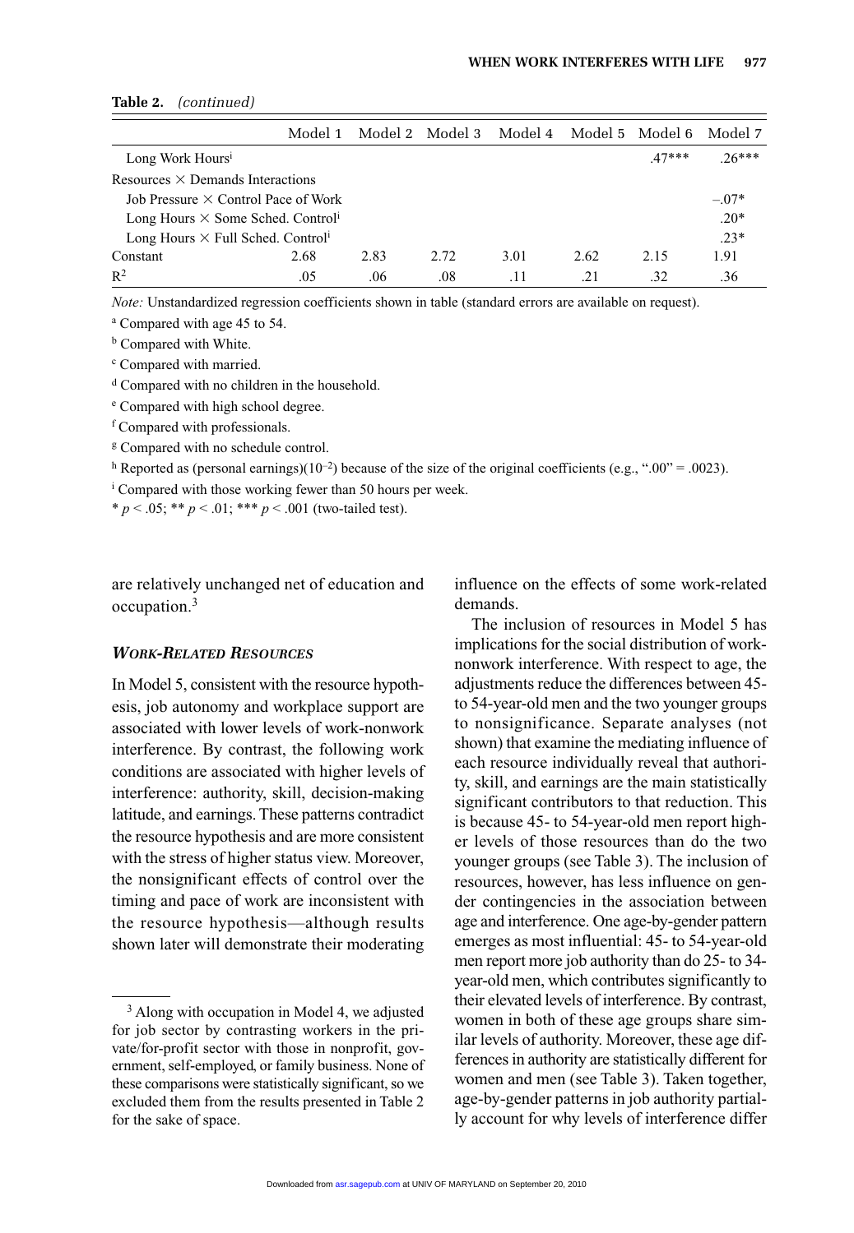| 100111111100111                                      |         |      |                 |         |                       |         |         |
|------------------------------------------------------|---------|------|-----------------|---------|-----------------------|---------|---------|
|                                                      | Model 1 |      | Model 2 Model 3 | Model 4 | - Model 5 - Model 6 - |         | Model 7 |
| Long Work Hours <sup>1</sup>                         |         |      |                 |         |                       | $47***$ | $26***$ |
| Resources $\times$ Demands Interactions              |         |      |                 |         |                       |         |         |
| Job Pressure $\times$ Control Pace of Work           |         |      |                 |         |                       |         | $-.07*$ |
| Long Hours $\times$ Some Sched. Control <sup>1</sup> |         |      |                 |         |                       |         | $.20*$  |
| Long Hours $\times$ Full Sched. Control <sup>1</sup> |         |      |                 |         |                       |         | $.23*$  |
| Constant                                             | 2.68    | 2.83 | 2.72            | 3.01    | 2.62                  | 2.15    | 1.91    |
| $\mathbb{R}^2$                                       | .05     | .06  | .08             | .11     | .21                   | .32     | .36     |

#### **Table 2.** *(continued)*

*Note:* Unstandardized regression coefficients shown in table (standard errors are available on request).

<sup>a</sup> Compared with age 45 to 54.

**b** Compared with White.

<sup>c</sup> Compared with married.

<sup>d</sup> Compared with no children in the household.

<sup>e</sup> Compared with high school degree.

<sup>f</sup> Compared with professionals.

<sup>g</sup> Compared with no schedule control.

h Reported as (personal earnings)(10<sup>-2</sup>) because of the size of the original coefficients (e.g., ".00" = .0023).

<sup>i</sup> Compared with those working fewer than 50 hours per week.

\* *p* < .05; \*\* *p* < .01; \*\*\* *p* < .001 (two-tailed test).

are relatively unchanged net of education and occupation.<sup>3</sup>

#### *WORK-RELATED RESOURCES*

In Model 5, consistent with the resource hypothesis, job autonomy and workplace support are associated with lower levels of work-nonwork interference. By contrast, the following work conditions are associated with higher levels of interference: authority, skill, decision-making latitude, and earnings. These patterns contradict the resource hypothesis and are more consistent with the stress of higher status view. Moreover, the nonsignificant effects of control over the timing and pace of work are inconsistent with the resource hypothesis—although results shown later will demonstrate their moderating influence on the effects of some work-related demands.

The inclusion of resources in Model 5 has implications for the social distribution of worknonwork interference. With respect to age, the adjustments reduce the differences between 45 to 54-year-old men and the two younger groups to nonsignificance. Separate analyses (not shown) that examine the mediating influence of each resource individually reveal that authority, skill, and earnings are the main statistically significant contributors to that reduction. This is because 45- to 54-year-old men report higher levels of those resources than do the two younger groups (see Table 3). The inclusion of resources, however, has less influence on gender contingencies in the association between age and interference. One age-by-gender pattern emerges as most influential: 45- to 54-year-old men report more job authority than do 25- to 34 year-old men, which contributes significantly to their elevated levels of interference. By contrast, women in both of these age groups share similar levels of authority. Moreover, these age differences in authority are statistically different for women and men (see Table 3). Taken together, age-by-gender patterns in job authority partially account for why levels of interference differ

<sup>&</sup>lt;sup>3</sup> Along with occupation in Model 4, we adjusted for job sector by contrasting workers in the private/for-profit sector with those in nonprofit, government, self-employed, or family business. None of these comparisons were statistically significant, so we excluded them from the results presented in Table 2 for the sake of space.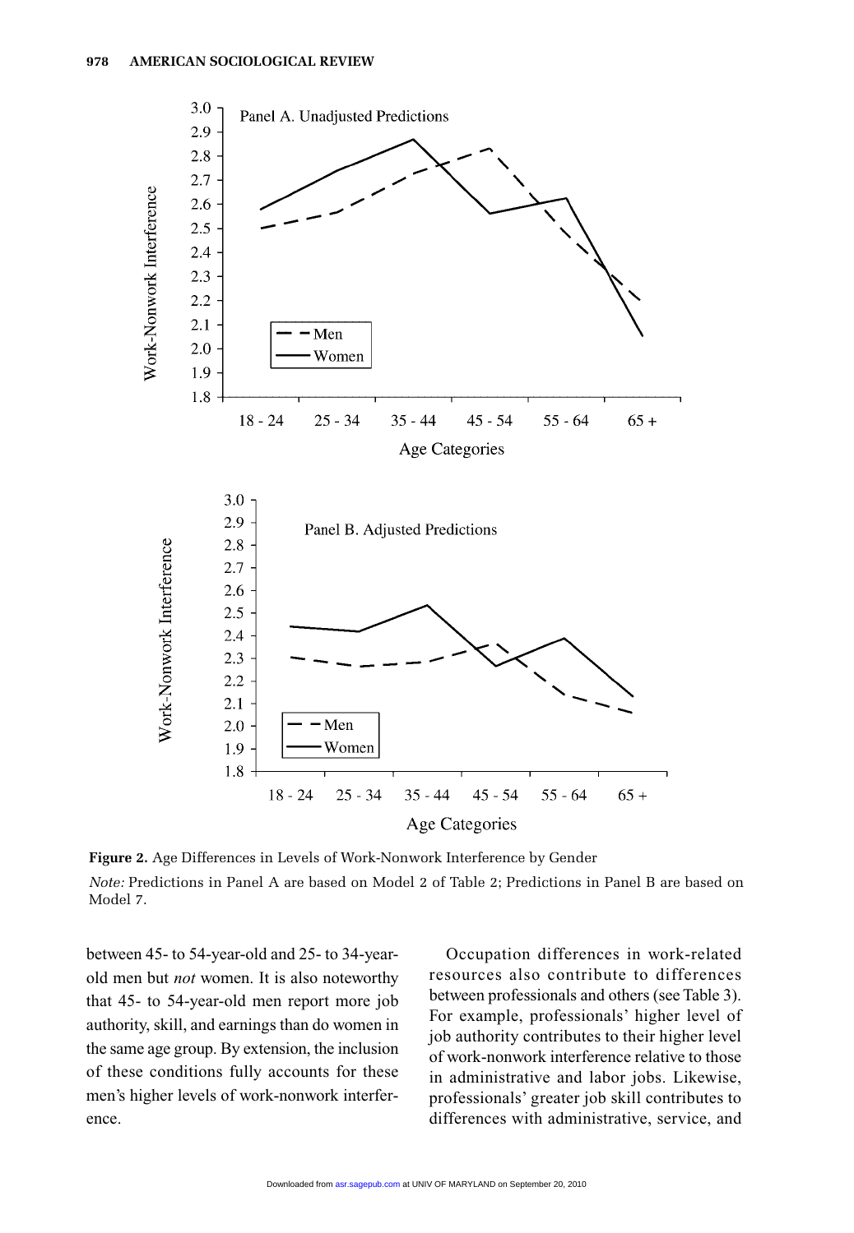

**Figure 2.** Age Differences in Levels of Work-Nonwork Interference by Gender *Note:* Predictions in Panel A are based on Model 2 of Table 2; Predictions in Panel B are based on Model 7.

between 45- to 54-year-old and 25- to 34-yearold men but *not* women. It is also noteworthy that 45- to 54-year-old men report more job authority, skill, and earnings than do women in the same age group. By extension, the inclusion of these conditions fully accounts for these men's higher levels of work-nonwork interference.

Occupation differences in work-related resources also contribute to differences between professionals and others (see Table 3). For example, professionals' higher level of job authority contributes to their higher level of work-nonwork interference relative to those in administrative and labor jobs. Likewise, professionals' greater job skill contributes to differences with administrative, service, and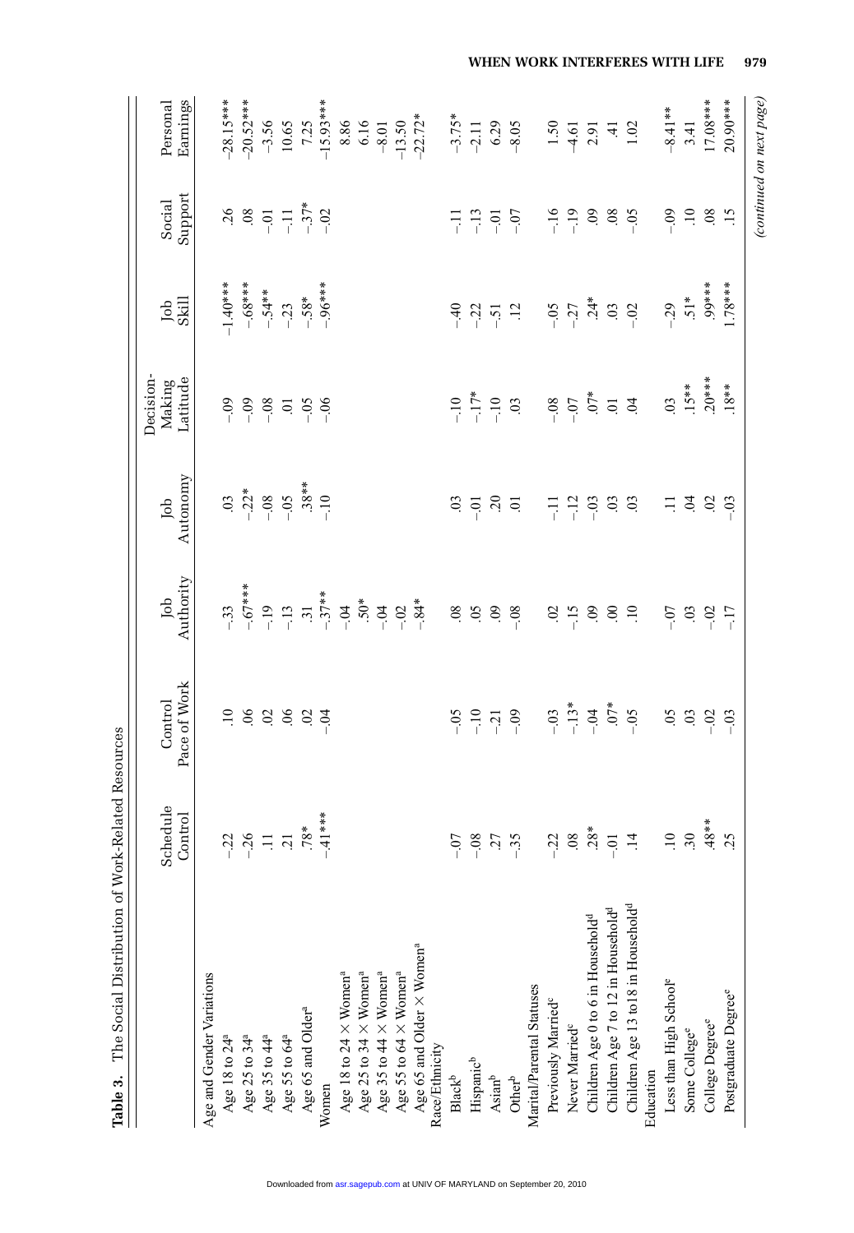|                                                                                                                                                                              | Schedule<br>Control     | Pace of Work<br>Control | Authority<br>Job    | Autonomy<br>Job     | Decision-<br>Latitude<br>Making | Job<br>Skill | Support<br>Social   | Earnings<br>Personal     |
|------------------------------------------------------------------------------------------------------------------------------------------------------------------------------|-------------------------|-------------------------|---------------------|---------------------|---------------------------------|--------------|---------------------|--------------------------|
| Age and Gender Variations                                                                                                                                                    |                         |                         |                     |                     |                                 |              |                     |                          |
|                                                                                                                                                                              |                         | $\Xi$                   | $-33$               | $\ddot{\mathrm{c}}$ | $-0.9$                          | $-1.40***$   | $\sim$              | $-28.15***$              |
| Age 18 to 24 <sup>a</sup><br>Age 25 to 34 <sup>a</sup>                                                                                                                       | $-32$<br>$-36$<br>$-12$ |                         | $-.67***$           | $-22*$              | $-0.9$                          | $-.68***$    | $\sim$              | $-20.52***$              |
| Age 35 to 44 <sup>a</sup>                                                                                                                                                    |                         |                         | $-19$               | $-08$               | $-0.08$                         | $-.54***$    | $-0.1$              | $-3.56$                  |
| Age 55 to 64 <sup>a</sup>                                                                                                                                                    |                         | 8888                    | $-13$               | $-0.5$              | ō                               | $-23$        |                     | 10.65                    |
| Age 65 and Older <sup>a</sup>                                                                                                                                                | $.78*$                  |                         | $\ddot{31}$         | $.38**$             | $-0.5$                          | $-.58*$      | $-11$<br>$-37*$     | 7.25                     |
| Women                                                                                                                                                                        | 41***                   | $-54$                   | $-.37***$           | $-10$               | $-06$                           | $-96***$     | $-02$               | $-15.93***$              |
|                                                                                                                                                                              |                         |                         | $-0.4$              |                     |                                 |              |                     | 8.86                     |
|                                                                                                                                                                              |                         |                         | $.50*$              |                     |                                 |              |                     | 6.16                     |
|                                                                                                                                                                              |                         |                         | $-0.4$              |                     |                                 |              |                     | $-8.01$                  |
| Age 18 to 24 $\times$ Women <sup>a</sup><br>Age 25 to 34 $\times$ Women <sup>a</sup><br>Age 35 to 44 $\times$ Women <sup>a</sup><br>Age 55 to 64 $\times$ Women <sup>a</sup> |                         |                         | $-02$               |                     |                                 |              |                     | $-13.50$                 |
| Age 65 and Older $\times$ Women <sup>a</sup>                                                                                                                                 |                         |                         | $-84*$              |                     |                                 |              |                     | $-22.72*$                |
| Race/Ethnicity                                                                                                                                                               |                         |                         |                     |                     |                                 |              |                     |                          |
| $\mathbf{Black}^\mathsf{b}$                                                                                                                                                  | $\overline{0}$          | $-0.5$                  | $08$                | $\ddot{\mathrm{c}}$ | $-10$                           | $-40$        | $\overline{a}$      | $-3.75*$                 |
| Hispanic <sup>b</sup>                                                                                                                                                        | 08                      | $-10$                   | $\overline{5}$      | $-0.0$              | $-17*$                          | $-22$        | $-13$               | $-2.11$                  |
| $\mathrm{Asian}^{\mathrm{b}}$                                                                                                                                                | 27                      | $-21$                   | 60                  | $\ddot{c}$          | $-10$                           | $-51$        | $-0.01$             | 6.29                     |
| $\ensuremath{\mathsf{Other}}^\ensuremath{\mathsf{b}}$                                                                                                                        | 35                      | $-0.9$                  | $-0.8$              | $\ddot{\circ}$      | $\ddot{\mathrm{c}}$             | $\ddot{5}$   | $-0$                | $-8.05$                  |
| Marital/Parental Statuses                                                                                                                                                    |                         |                         |                     |                     |                                 |              |                     |                          |
| Previously Married <sup>c</sup>                                                                                                                                              | $-22$                   | $-0.03$                 | $\ddot{\mathrm{S}}$ | 류                   | $-0.8$                          | $-0.5$       | $-16$               | $1.50\,$                 |
| Never Married <sup>c</sup>                                                                                                                                                   | .08                     | $-13*$                  | $-15$               | $-12$               | $-0$                            | $-27$        | $-19$               | $-4.61$                  |
| Children Age 0 to 6 in Household <sup>d</sup>                                                                                                                                | $.28*$                  | $-04$                   | $\overline{60}$     | $-03$               | $.07*$                          | $.24*$       | $\ddot{\mathrm{e}}$ | 2.91                     |
| Children Age 7 to 12 in Household <sup>d</sup>                                                                                                                               | $-0.01$                 | $.07*$                  | $\mathbf{S}$        | $\ddot{\mathrm{c}}$ | $\overline{5}$ , $\overline{6}$ | $\rm g$      | $\ddot{0}$          |                          |
| Children Age 13 to18 in Household <sup>d</sup>                                                                                                                               | $\overline{4}$          | $-0.5$                  | $\Xi$               | $\ddot{\mathrm{c}}$ |                                 | $-0.2$       | $-0.5$              | $\frac{41}{1.02}$        |
| Education                                                                                                                                                                    |                         |                         |                     |                     |                                 |              |                     |                          |
| Less than High School <sup>e</sup>                                                                                                                                           | $\overline{10}$         | $\overline{5}$          | $-0.7$              | Ξ                   | $\overline{0}$                  | $-29$        | $-09$               | $-8.41***$               |
| Some College <sup>e</sup>                                                                                                                                                    | 30                      | $\ddot{\mathrm{c}}$     | 03                  | Ś.                  | $.15***$                        | $51*$        | $\overline{10}$     | 3.41                     |
| College Degree <sup>e</sup>                                                                                                                                                  | $48**$                  | $-0.02$                 | $-0.02$             | $\rm S$             | $.20***$                        | .99***       | 08                  | $17.08***$               |
| Postgraduate Degree <sup>e</sup>                                                                                                                                             | .25                     | $-03$                   | $-17$               | $-03$               | $.18***$                        | $1.78***$    | $\ddot{15}$         | 20.90***                 |
|                                                                                                                                                                              |                         |                         |                     |                     |                                 |              |                     | (continued on next page) |

**WHEN WORK INTERFERES WITH LIFE—–979**

Table 3. The Social Distribution of Work-Related Resources **Table 3.** The Social Distribution of Work-Related Resources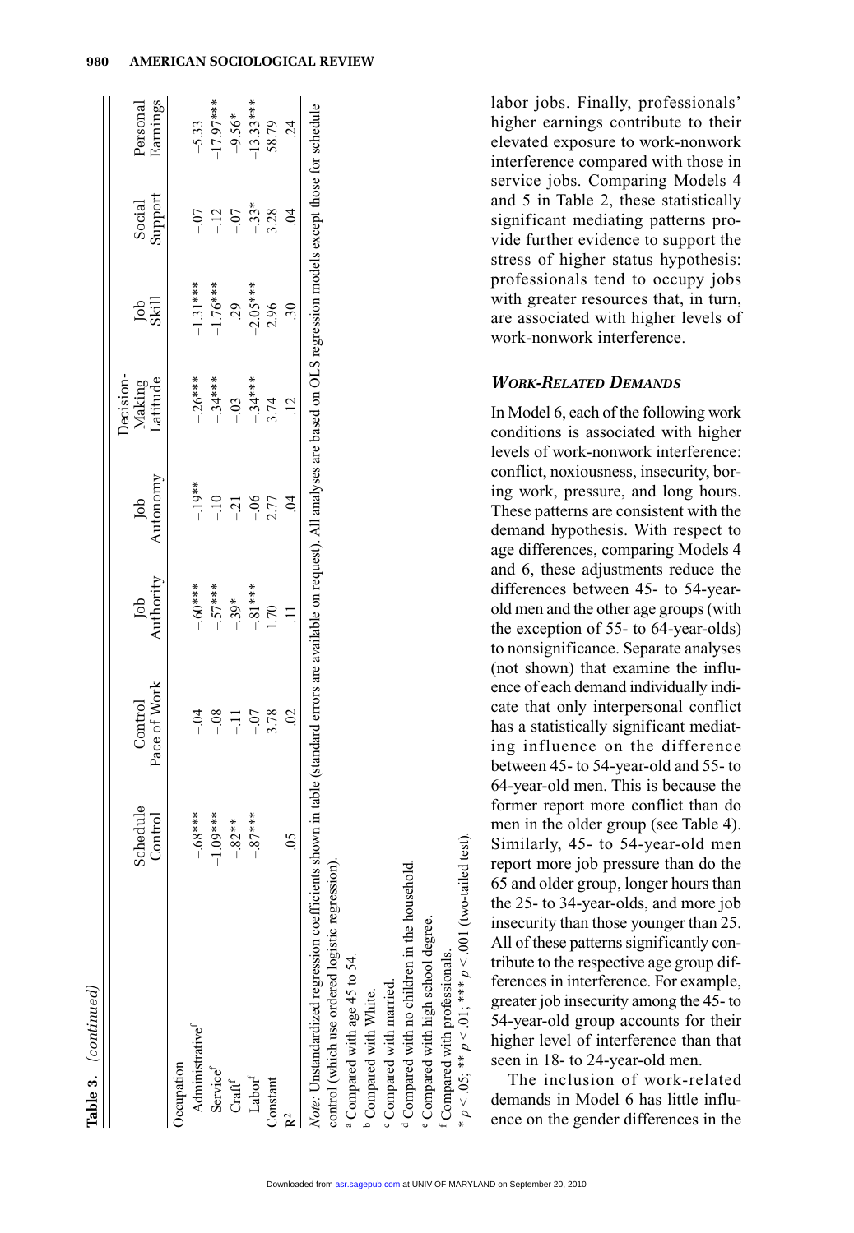| į        |
|----------|
|          |
|          |
|          |
|          |
|          |
|          |
|          |
|          |
|          |
|          |
| ¢        |
|          |
|          |
|          |
|          |
|          |
|          |
|          |
|          |
| 5        |
|          |
| $\vdots$ |

|                                                                                                                                                                                                                                       | Schedule<br>Control | Pace of Work<br>Control | Authority<br>Job | Autonomy<br>Job | becision-<br>atitude<br>Making | da<br>Skill | Support<br>Social | Earnings<br>Personal |
|---------------------------------------------------------------------------------------------------------------------------------------------------------------------------------------------------------------------------------------|---------------------|-------------------------|------------------|-----------------|--------------------------------|-------------|-------------------|----------------------|
| <b>Compation</b>                                                                                                                                                                                                                      |                     |                         |                  |                 |                                |             |                   |                      |
| Administrative <sup>f</sup>                                                                                                                                                                                                           | ****<br>$-68$       |                         | $-60***$         | $-.19***$       | $-26***$                       | $-1.31***$  |                   | $-5.33$              |
| Service <sup>f</sup>                                                                                                                                                                                                                  | ****<br>$-1.09$     | $\frac{8}{1}$           | $-57***$         | $-10$           | $-34***$                       | $-1.76***$  | $-12$             | 17.97****            |
| $\mathbf{Craft}^{\mathrm{f}}$                                                                                                                                                                                                         | $* *$<br>-82        | ミー                      | $-39*$           | $-21$           | $-0.03$                        | $-2.05***$  | $-0$              | $-9.56*$             |
| Label <sup>f</sup>                                                                                                                                                                                                                    | 7****               | $-0$                    | $-81***$         | $-06$           | $-34***$                       |             | $-33*$<br>3.28    | $-13.33***$<br>58.79 |
| Constant                                                                                                                                                                                                                              |                     | 3.78                    | 0 <sup>1</sup>   | 2.77            | .74                            | 2.96        |                   |                      |
| p2                                                                                                                                                                                                                                    | Š                   | S                       |                  | S.              |                                | $\ddot{30}$ | $\ddot{q}$        | 24                   |
| Note: Unstandardized regression coefficients shown in table (standard errors are available on request). All analyses are based on OLS regression models except those for schedule<br>control (which use ordered logistic regression). |                     |                         |                  |                 |                                |             |                   |                      |
| <sup>a</sup> Compared with age 45 to 54.                                                                                                                                                                                              |                     |                         |                  |                 |                                |             |                   |                      |

<sup>c</sup> Compared with married. Compared with married. <sup>o</sup> Compared with White. b Compared with White.

<sup>d</sup> Compared with no children in the household. Compared with no children in the household.

Compared with high school degree. Compared with high school degree.

 $p < .05$ ; \*\*  $p < .01$ ; \*\*\*  $p < .001$  (two-tailed test) Compared with professionals. Compared with professionals.

 $p < .05;$  \*\*  $p < .01;$  \*\*\*  $p < .001$  (two-tailed test).

labor jobs. Finally, professionals' higher earnings contribute to their elevated exposure to work-nonwork interference compared with those in service jobs. Comparing Models 4 and 5 in Table 2, these statistically significant mediating patterns provide further evidence to support the stress of higher status hypothesis: professionals tend to occupy jobs with greater resources that, in turn, are associated with higher levels of work-nonwork interference.

## *WORK-RELATED DEMANDS*

In Model 6, each of the following work conditions is associated with higher levels of work-nonwork interference: conflict, noxiousness, insecurity, boring work, pressure, and long hours. These patterns are consistent with the demand hypothesis. With respect to age differences, comparing Models 4 and 6, these adjustments reduce the differences between 45- to 54-yearold men and the other age groups (with the exception of 55- to 64-year-olds) to nonsignificance. Separate analyses (not shown) that examine the influence of each demand individually indicate that only interpersonal conflict has a statistically significant mediating influence on the difference between 45- to 54-year-old and 55- to 64-year-old men. This is because the former report more conflict than do men in the older group (see Table 4). Similarly, 45- to 54-year-old men report more job pressure than do the 65 and older group, longer hours than the 25- to 34-year-olds, and more job insecurity than those younger than 25. All of these patterns significantly contribute to the respective age group differences in interference. For example, greater job insecurity among the 45- to 54-year-old group accounts for their higher level of interference than that seen in 18- to 24-year-old men.

The inclusion of work-related demands in Model 6 has little influence on the gender differences in the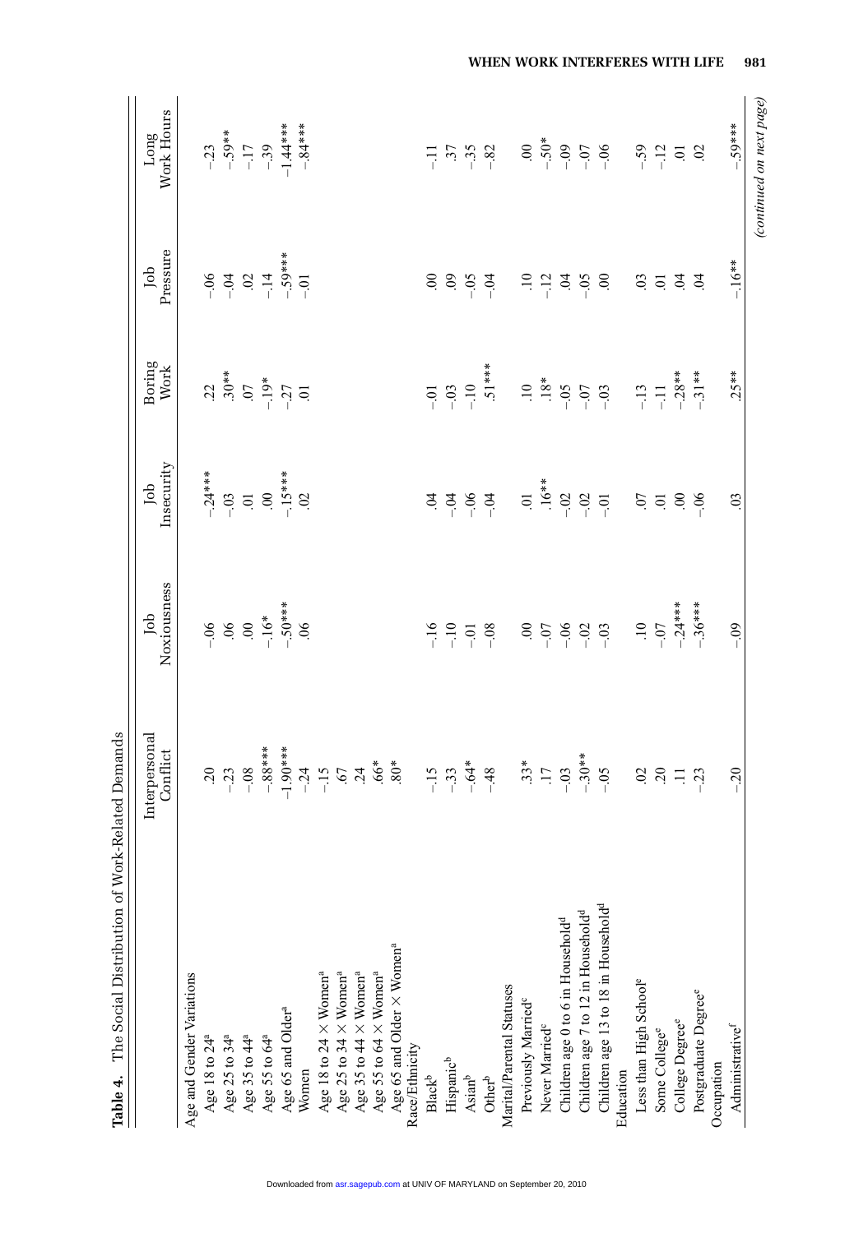| The Social Distribution of Work-Related Demands<br>Table 4.                                                                                                                  |                           |                    |                           |                  |                 |                           |
|------------------------------------------------------------------------------------------------------------------------------------------------------------------------------|---------------------------|--------------------|---------------------------|------------------|-----------------|---------------------------|
|                                                                                                                                                                              | Interpersonal<br>Conflict | Noxiousness<br>Job | Insecurity<br>Job         | Boring<br>Work   | Pressure<br>Job | Work Hours<br>Long        |
| Age and Gender Variations                                                                                                                                                    |                           |                    |                           |                  |                 |                           |
| Age 18 to 24 <sup>a</sup>                                                                                                                                                    | $\sim 0$                  | $-06$              | $-24***$                  | 22               | $-0.6$          |                           |
|                                                                                                                                                                              | $-23$                     | $90.$              | $-0.3$                    | $.30***$         | $-0.4$          | $-23$<br>$-59**$          |
| Age 25 to 34 <sup>a</sup><br>Age 35 to 44 <sup>a</sup>                                                                                                                       | $-0.8$                    | $\mathcal{S}$      | $\Xi$                     | $\overline{C}$   | $\mathfrak{S}$  | $-17$                     |
| Age 55 to 64 <sup>a</sup>                                                                                                                                                    | $-.88***$                 | $-.16*$            | $\mathcal{S}$             | $-19*$           | $-14$           | $-39$                     |
| Age 65 and Older <sup>a</sup>                                                                                                                                                | $-1.90***$                | $-50***$           | $-15***$                  | $-27$            | $-59***$        | $-1.44***$                |
| Women                                                                                                                                                                        | $-24$                     | 06                 | $\overline{0}$            |                  | $-0.1$          | $-84***$                  |
| Age 18 to 24 $\times$ Women <sup>a</sup><br>Age 25 to 34 $\times$ Women <sup>a</sup><br>Age 35 to 44 $\times$ Women <sup>a</sup><br>Age 55 to 64 $\times$ Women <sup>a</sup> | $-15$                     |                    |                           |                  |                 |                           |
|                                                                                                                                                                              |                           |                    |                           |                  |                 |                           |
|                                                                                                                                                                              | $67$<br>$24$              |                    |                           |                  |                 |                           |
|                                                                                                                                                                              | $.66*$                    |                    |                           |                  |                 |                           |
| Age 65 and Older $\times$ Women <sup>a</sup> Race/Ethnicity                                                                                                                  | $.80*$                    |                    |                           |                  |                 |                           |
|                                                                                                                                                                              |                           |                    |                           |                  |                 |                           |
| $\mathbf{Black}^\mathsf{b}$                                                                                                                                                  | $-15$                     | $-16$              | $\ddot{q}$                | $-0$             | $\mathcal{S}$   | 듀                         |
| Hispanic <sup>b</sup>                                                                                                                                                        | $-33$                     | $-10$              | $-0.4$                    | $-0.3$           | $\ddot{\circ}$  | $\ddot{37}$               |
| $\mathrm{Asian}^{\mathrm{b}}$                                                                                                                                                | $-64*$                    | $-0.1$             | $-0.6$                    | $-10$            | $-0.5$          | $-35$                     |
| $\ensuremath{\mathsf{Other}}^\ensuremath{\mathsf{b}}$                                                                                                                        | $-48$                     | $-0.8$             | $-04$                     | $.51***$         | $-04$           | $-82$                     |
| Marital/Parental Statuses                                                                                                                                                    |                           |                    |                           |                  |                 |                           |
| Previously Married <sup>c</sup>                                                                                                                                              | $.33*$                    | $\mathcal{S}_{i}$  | $\Xi$                     | $\ddot{=}$       | $\Xi$           | $\infty$                  |
| Never Married <sup>c</sup>                                                                                                                                                   | $\overline{17}$           | $-0$               | $.16**$                   | $18*$            | $-12$           | $-50*$                    |
| Children age 0 to 6 in Household <sup>d</sup>                                                                                                                                | $-0.3$                    | $-0.6$             | $-0.2$                    | $-0.5$           | $\ddot{9}$      | $-0.09$                   |
| Children age 7 to 12 in Household <sup>d</sup>                                                                                                                               | $-30**$                   | $-02$              | $-0.02$                   | $-0$             | $-0.5$          | $-0$                      |
| Children age 13 to 18 in Household <sup>d</sup>                                                                                                                              | $-0.5$                    | $-0.3$             | $-0$                      | $-03$            | $\mathcal{S}$   | $-0.6$                    |
| Education                                                                                                                                                                    |                           |                    |                           |                  |                 |                           |
| Less than High School <sup>e</sup>                                                                                                                                           | $\overline{0}$            | $\ddot{=}$         | $\ddot{0}$                | $-13$            | $\overline{0}$  |                           |
| Some College <sup>e</sup>                                                                                                                                                    | $\sim 0$                  | $-07$              | $\Xi$                     | $\overline{\Xi}$ | $\overline{0}$  | $-59$<br>$-12$            |
| College Degree <sup>e</sup>                                                                                                                                                  | $\Xi$                     | $-24***$           | $\widetilde{\mathcal{S}}$ | $-.28**$         | $\ddot{q}$      | ā                         |
| Postgraduate Degree <sup>e</sup>                                                                                                                                             | $-23$                     | $-36***$           | $-06$                     | $-31**$          | $\overline{5}$  | $\widetilde{\mathcal{S}}$ |
| Occupation                                                                                                                                                                   |                           |                    |                           |                  |                 |                           |
| Administrative <sup>f</sup>                                                                                                                                                  | $-20$                     | $-0.9$             | $\ddot{\mathrm{c}}$       | $.25**$          | $-16**$         | $-.59***$                 |
|                                                                                                                                                                              |                           |                    |                           |                  |                 | (continued on next page)  |

**WHEN WORK INTERFERES WITH LIFE—–981**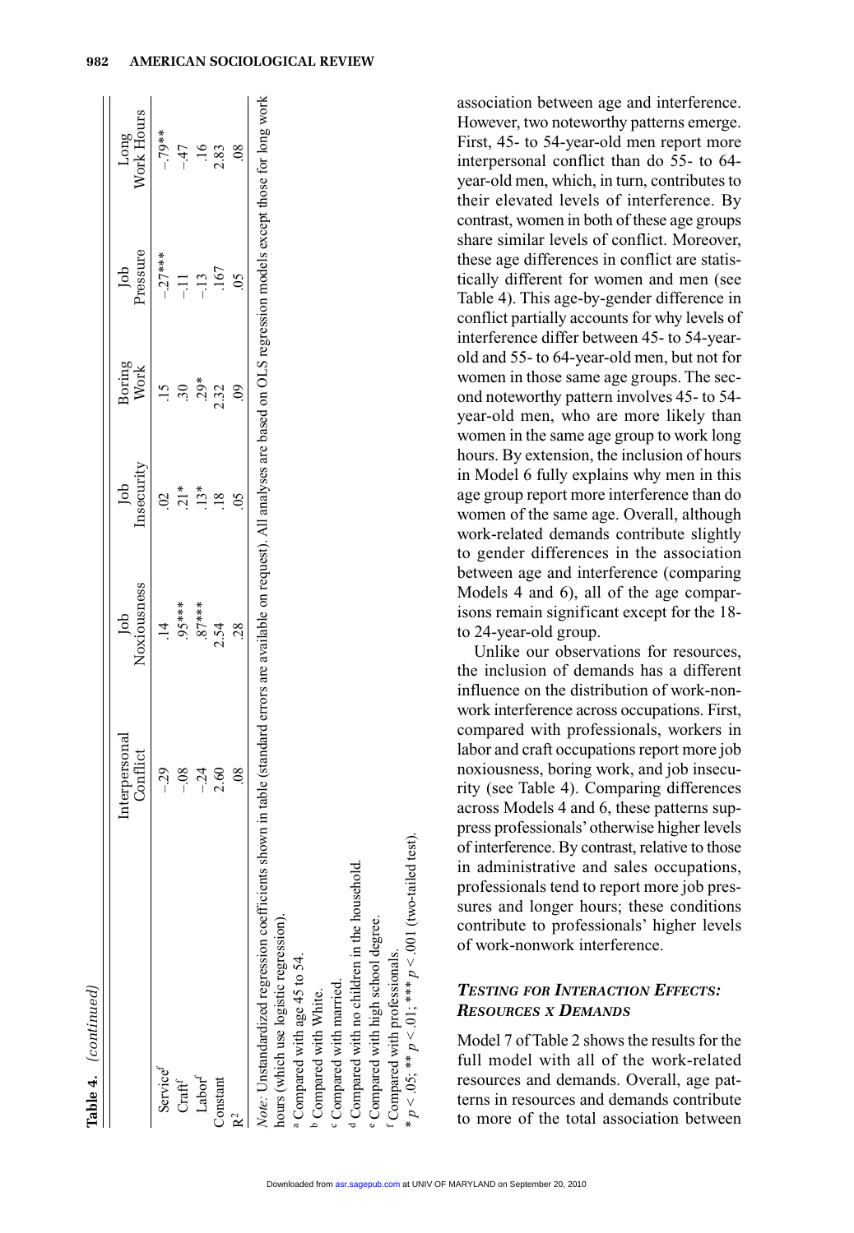| <b>ARAARA</b> |
|---------------|
|               |
|               |
|               |
|               |
|               |
|               |
|               |
|               |
| i<br>⊲        |
|               |
|               |
|               |
|               |
|               |
|               |
|               |
|               |
|               |

|                                        | terpersona                                                                                                                                                                         | ppl            | Ĵо         | soring | Job      |                    |
|----------------------------------------|------------------------------------------------------------------------------------------------------------------------------------------------------------------------------------|----------------|------------|--------|----------|--------------------|
|                                        | Conflict                                                                                                                                                                           | Noxiousness    | Insecurity | Work   | Pressure | Long<br>Work Hours |
| Service <sup>f</sup>                   |                                                                                                                                                                                    |                |            |        | $-27***$ | $-79**$            |
| $Craft$ <sup>f</sup>                   |                                                                                                                                                                                    | 95****         | ្ដែ        |        |          | $-47$              |
| $\operatorname{Labor}^{\mathrm{f}}$    | $-24$                                                                                                                                                                              | $87***$        | $13*$      | $29*$  |          |                    |
| Constant                               | 2.60                                                                                                                                                                               | 2.54           |            | 2.32   |          | 2.83               |
|                                        | $\frac{8}{2}$                                                                                                                                                                      | $\frac{8}{28}$ |            |        |          |                    |
| hours (which use logistic regression). | Vote: Unstandardized regression coefficients shown in table (standard errors are available on request). All analyses are based on OLS regression models except those for long work |                |            |        |          |                    |
| Compared with age 45 to 54.            |                                                                                                                                                                                    |                |            |        |          |                    |

association between age and interference. However, two noteworthy patterns emerge. First, 45- to 54-year-old men report more interpersonal conflict than do 55- to 64 year-old men, which, in turn, contributes to their elevated levels of interference. By contrast, women in both of these age groups share similar levels of conflict. Moreover, these age differences in conflict are statistically different for women and men (see Table 4). This age-by-gender difference in conflict partially accounts for why levels of interference differ between 45- to 54-yearold and 55- to 64-year-old men, but not for women in those same age groups. The second noteworthy pattern involves 45- to 54 year-old men, who are more likely than women in the same age group to work long hours. By extension, the inclusion of hours in Model 6 fully explains why men in this age group report more interference than do women of the same age. Overall, although work-related demands contribute slightly to gender differences in the association between age and interference (comparing Models 4 and 6), all of the age comparisons remain significant except for the 18 to 24-year-old group.

Unlike our observations for resources, the inclusion of demands has a different influence on the distribution of work-nonwork interference across occupations. First, compared with professionals, workers in labor and craft occupations report more job noxiousness, boring work, and job insecurity (see Table 4). Comparing differences across Models 4 and 6, these patterns suppress professionals'otherwise higher levels of interference. By contrast, relative to those in administrative and sales occupations, professionals tend to report more job pressures and longer hours; these conditions contribute to professionals' higher levels of work-nonwork interference.

# *TESTING FOR INTERACTION EFFECTS: RESOURCES X DEMANDS*

Model 7 of Table 2 shows the results for the full model with all of the work-related resources and demands. Overall, age patterns in resources and demands contribute to more of the total association between

 $p < .05;$  \*\*  $p < .01;$  \*\*\*  $p < .001$  (two-tailed test).

< .05; \*\*  $p$  < .01; \*\*\*  $p$  < .001 (two-tailed test).

b Compared with White. Compared with married. Compared with married.

<sup>b</sup> Compared with White.

<sup>d</sup> Compared with no children in the household. Compared with no children in the household. <sup>2</sup> Compared with high school degree. Compared with high school degree. Compared with professionals. Compared with professionals.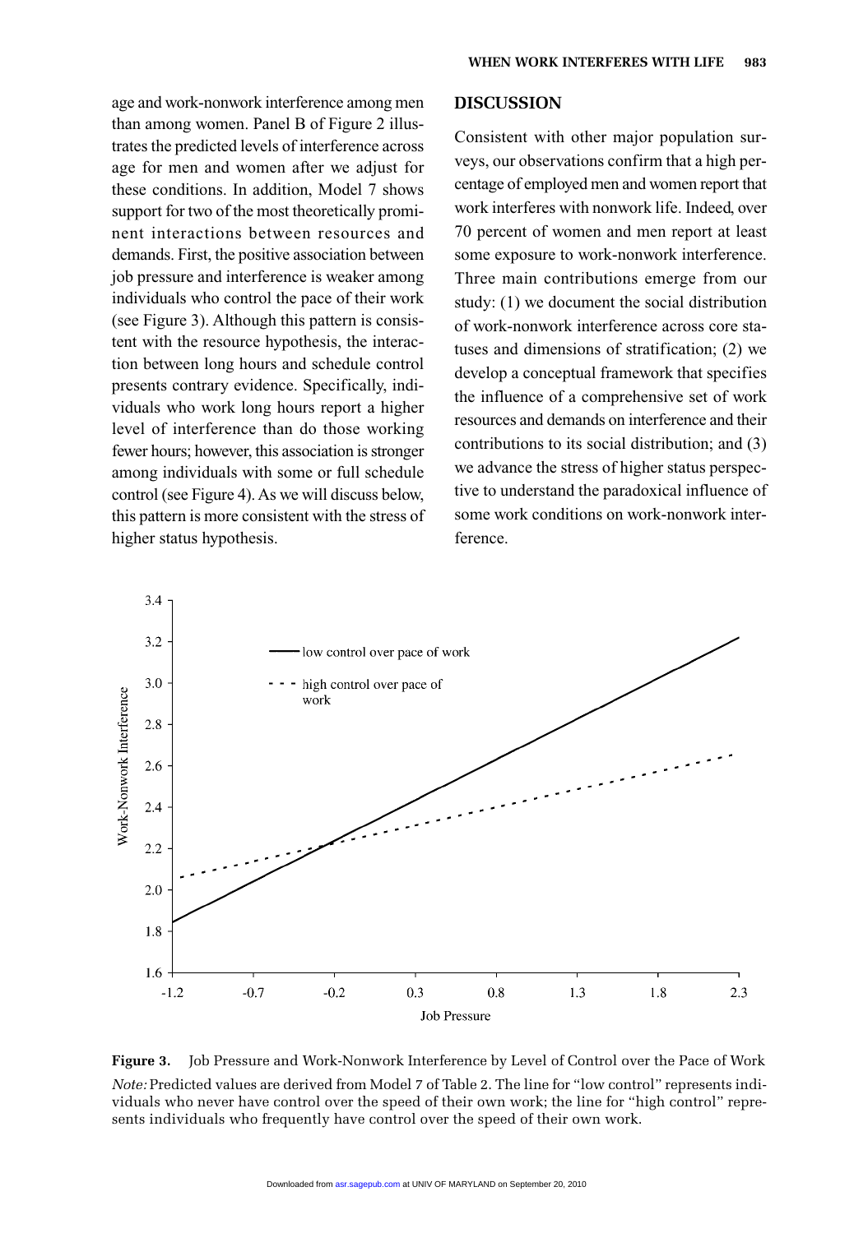age and work-nonwork interference among men than among women. Panel B of Figure 2 illustrates the predicted levels of interference across age for men and women after we adjust for these conditions. In addition, Model 7 shows support for two of the most theoretically prominent interactions between resources and demands. First, the positive association between job pressure and interference is weaker among individuals who control the pace of their work (see Figure 3). Although this pattern is consistent with the resource hypothesis, the interaction between long hours and schedule control presents contrary evidence. Specifically, individuals who work long hours report a higher level of interference than do those working fewer hours; however, this association is stronger among individuals with some or full schedule control (see Figure 4). As we will discuss below, this pattern is more consistent with the stress of higher status hypothesis.

#### **DISCUSSION**

Consistent with other major population surveys, our observations confirm that a high percentage of employed men and women report that work interferes with nonwork life. Indeed, over 70 percent of women and men report at least some exposure to work-nonwork interference. Three main contributions emerge from our study: (1) we document the social distribution of work-nonwork interference across core statuses and dimensions of stratification; (2) we develop a conceptual framework that specifies the influence of a comprehensive set of work resources and demands on interference and their contributions to its social distribution; and (3) we advance the stress of higher status perspective to understand the paradoxical influence of some work conditions on work-nonwork interference.



**Figure 3.** Job Pressure and Work-Nonwork Interference by Level of Control over the Pace of Work *Note:* Predicted values are derived from Model 7 of Table 2. The line for "low control" represents individuals who never have control over the speed of their own work; the line for "high control" represents individuals who frequently have control over the speed of their own work.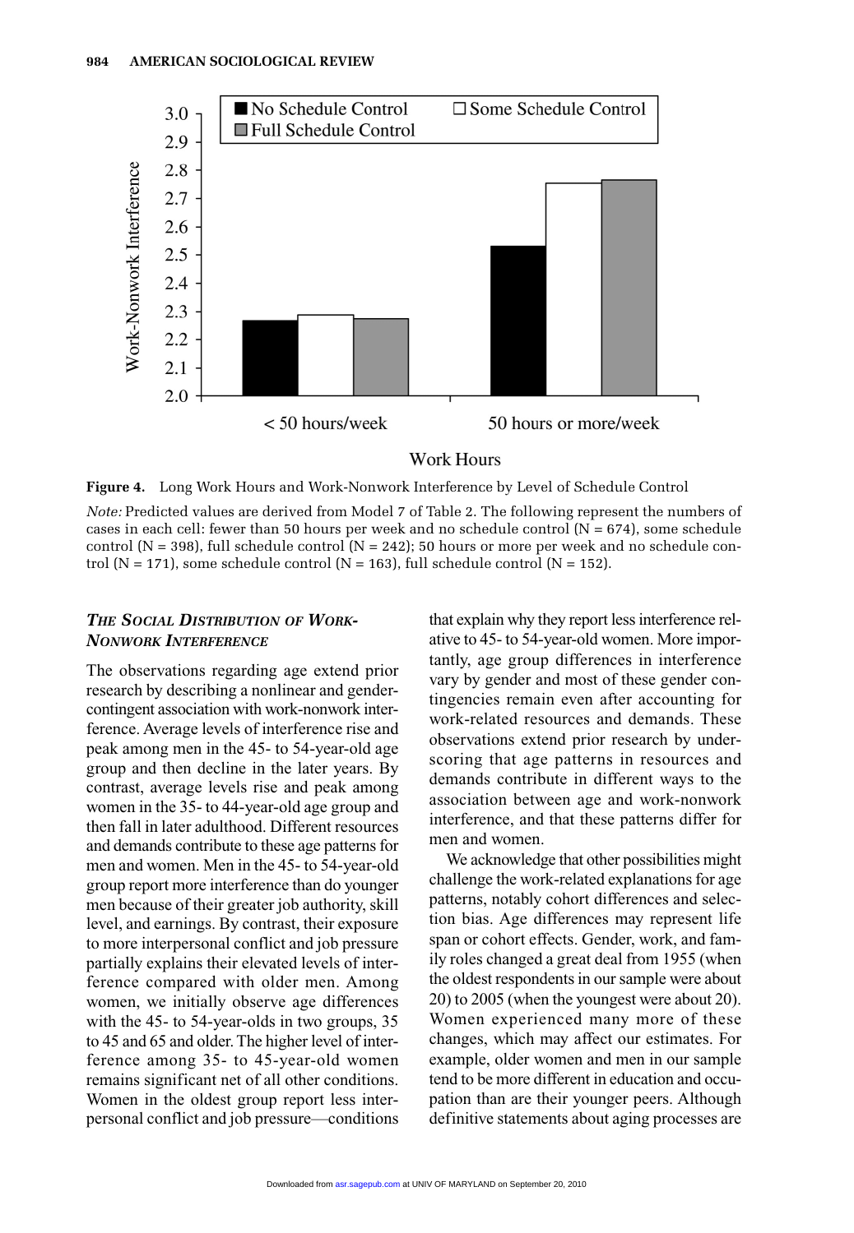

**Figure 4.** Long Work Hours and Work-Nonwork Interference by Level of Schedule Control *Note:* Predicted values are derived from Model 7 of Table 2. The following represent the numbers of cases in each cell: fewer than 50 hours per week and no schedule control  $(N = 674)$ , some schedule control ( $N = 398$ ), full schedule control ( $N = 242$ ); 50 hours or more per week and no schedule control (N = 171), some schedule control (N = 163), full schedule control (N = 152).

# *THE SOCIAL DISTRIBUTION OF WORK-NONWORK INTERFERENCE*

The observations regarding age extend prior research by describing a nonlinear and gendercontingent association with work-nonwork interference. Average levels of interference rise and peak among men in the 45- to 54-year-old age group and then decline in the later years. By contrast, average levels rise and peak among women in the 35- to 44-year-old age group and then fall in later adulthood. Different resources and demands contribute to these age patterns for men and women. Men in the 45- to 54-year-old group report more interference than do younger men because of their greater job authority, skill level, and earnings. By contrast, their exposure to more interpersonal conflict and job pressure partially explains their elevated levels of interference compared with older men. Among women, we initially observe age differences with the 45- to 54-year-olds in two groups, 35 to 45 and 65 and older. The higher level of interference among 35- to 45-year-old women remains significant net of all other conditions. Women in the oldest group report less interpersonal conflict and job pressure—conditions

that explain why they report less interference relative to 45- to 54-year-old women. More importantly, age group differences in interference vary by gender and most of these gender contingencies remain even after accounting for work-related resources and demands. These observations extend prior research by underscoring that age patterns in resources and demands contribute in different ways to the association between age and work-nonwork interference, and that these patterns differ for men and women.

We acknowledge that other possibilities might challenge the work-related explanations for age patterns, notably cohort differences and selection bias. Age differences may represent life span or cohort effects. Gender, work, and family roles changed a great deal from 1955 (when the oldest respondents in our sample were about 20) to 2005 (when the youngest were about 20). Women experienced many more of these changes, which may affect our estimates. For example, older women and men in our sample tend to be more different in education and occupation than are their younger peers. Although definitive statements about aging processes are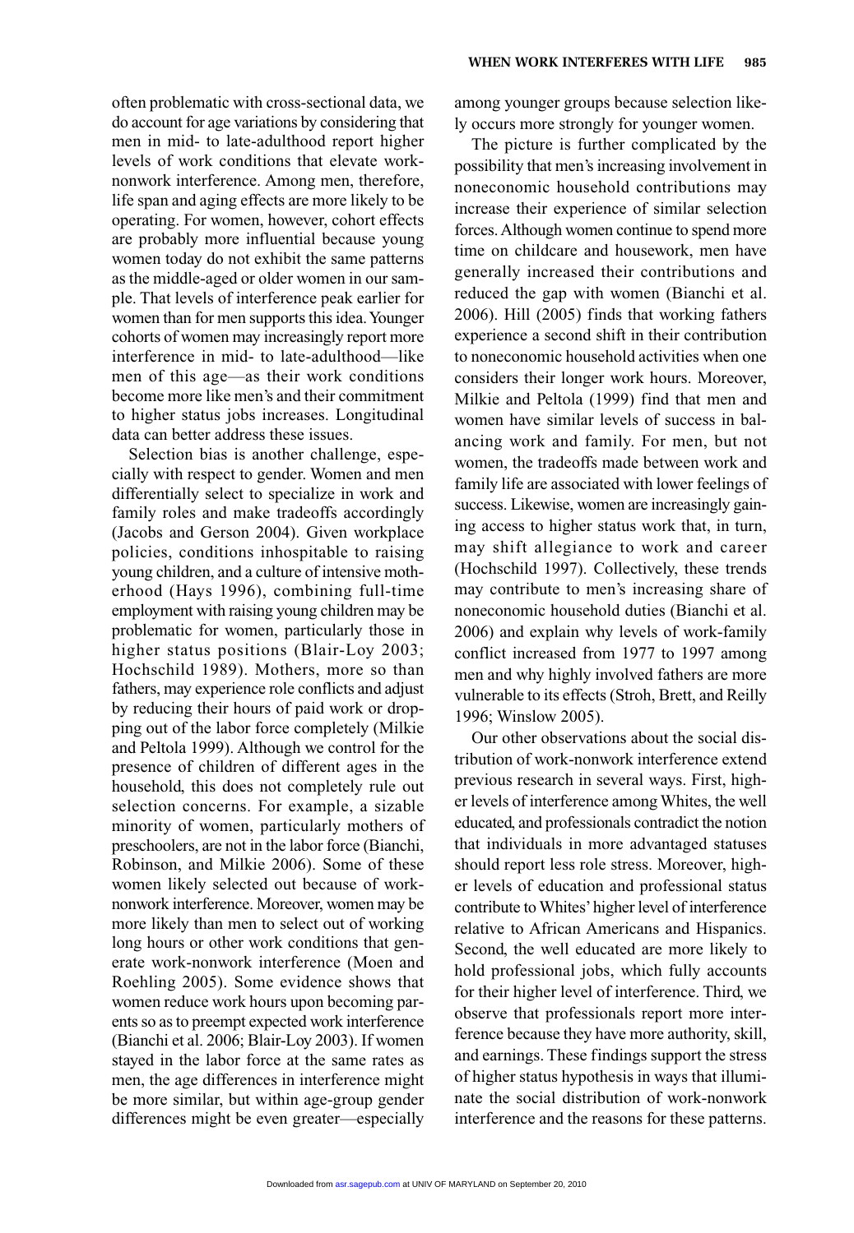often problematic with cross-sectional data, we do account for age variations by considering that men in mid- to late-adulthood report higher levels of work conditions that elevate worknonwork interference. Among men, therefore, life span and aging effects are more likely to be operating. For women, however, cohort effects are probably more influential because young women today do not exhibit the same patterns as the middle-aged or older women in our sample. That levels of interference peak earlier for women than for men supports this idea. Younger cohorts of women may increasingly report more interference in mid- to late-adulthood—like men of this age—as their work conditions become more like men's and their commitment to higher status jobs increases. Longitudinal data can better address these issues.

Selection bias is another challenge, especially with respect to gender. Women and men differentially select to specialize in work and family roles and make tradeoffs accordingly (Jacobs and Gerson 2004). Given workplace policies, conditions inhospitable to raising young children, and a culture of intensive motherhood (Hays 1996), combining full-time employment with raising young children may be problematic for women, particularly those in higher status positions (Blair-Loy 2003; Hochschild 1989). Mothers, more so than fathers, may experience role conflicts and adjust by reducing their hours of paid work or dropping out of the labor force completely (Milkie and Peltola 1999). Although we control for the presence of children of different ages in the household, this does not completely rule out selection concerns. For example, a sizable minority of women, particularly mothers of preschoolers, are not in the labor force (Bianchi, Robinson, and Milkie 2006). Some of these women likely selected out because of worknonwork interference. Moreover, women may be more likely than men to select out of working long hours or other work conditions that generate work-nonwork interference (Moen and Roehling 2005). Some evidence shows that women reduce work hours upon becoming parents so as to preempt expected work interference (Bianchi et al. 2006; Blair-Loy 2003). If women stayed in the labor force at the same rates as men, the age differences in interference might be more similar, but within age-group gender differences might be even greater—especially among younger groups because selection likely occurs more strongly for younger women.

The picture is further complicated by the possibility that men's increasing involvement in noneconomic household contributions may increase their experience of similar selection forces. Although women continue to spend more time on childcare and housework, men have generally increased their contributions and reduced the gap with women (Bianchi et al. 2006). Hill (2005) finds that working fathers experience a second shift in their contribution to noneconomic household activities when one considers their longer work hours. Moreover, Milkie and Peltola (1999) find that men and women have similar levels of success in balancing work and family. For men, but not women, the tradeoffs made between work and family life are associated with lower feelings of success. Likewise, women are increasingly gaining access to higher status work that, in turn, may shift allegiance to work and career (Hochschild 1997). Collectively, these trends may contribute to men's increasing share of noneconomic household duties (Bianchi et al. 2006) and explain why levels of work-family conflict increased from 1977 to 1997 among men and why highly involved fathers are more vulnerable to its effects (Stroh, Brett, and Reilly 1996; Winslow 2005).

Our other observations about the social distribution of work-nonwork interference extend previous research in several ways. First, higher levels of interference among Whites, the well educated, and professionals contradict the notion that individuals in more advantaged statuses should report less role stress. Moreover, higher levels of education and professional status contribute to Whites'higher level of interference relative to African Americans and Hispanics. Second, the well educated are more likely to hold professional jobs, which fully accounts for their higher level of interference. Third, we observe that professionals report more interference because they have more authority, skill, and earnings. These findings support the stress of higher status hypothesis in ways that illuminate the social distribution of work-nonwork interference and the reasons for these patterns.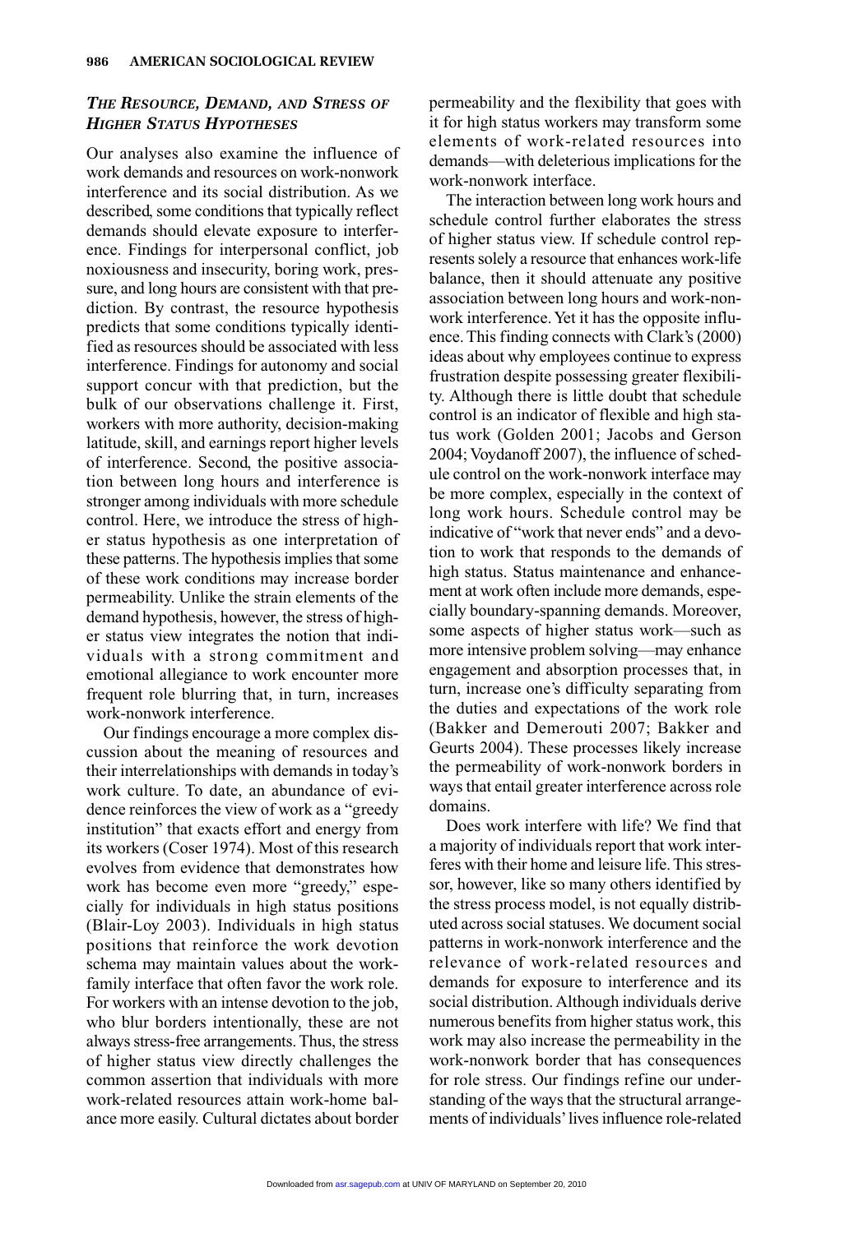## *THE RESOURCE, DEMAND, AND STRESS OF HIGHER STATUS HYPOTHESES*

Our analyses also examine the influence of work demands and resources on work-nonwork interference and its social distribution. As we described, some conditions that typically reflect demands should elevate exposure to interference. Findings for interpersonal conflict, job noxiousness and insecurity, boring work, pressure, and long hours are consistent with that prediction. By contrast, the resource hypothesis predicts that some conditions typically identified as resources should be associated with less interference. Findings for autonomy and social support concur with that prediction, but the bulk of our observations challenge it. First, workers with more authority, decision-making latitude, skill, and earnings report higher levels of interference. Second, the positive association between long hours and interference is stronger among individuals with more schedule control. Here, we introduce the stress of higher status hypothesis as one interpretation of these patterns. The hypothesis implies that some of these work conditions may increase border permeability. Unlike the strain elements of the demand hypothesis, however, the stress of higher status view integrates the notion that individuals with a strong commitment and emotional allegiance to work encounter more frequent role blurring that, in turn, increases work-nonwork interference.

Our findings encourage a more complex discussion about the meaning of resources and their interrelationships with demands in today's work culture. To date, an abundance of evidence reinforces the view of work as a "greedy institution" that exacts effort and energy from its workers (Coser 1974). Most of this research evolves from evidence that demonstrates how work has become even more "greedy," especially for individuals in high status positions (Blair-Loy 2003). Individuals in high status positions that reinforce the work devotion schema may maintain values about the workfamily interface that often favor the work role. For workers with an intense devotion to the job, who blur borders intentionally, these are not always stress-free arrangements. Thus, the stress of higher status view directly challenges the common assertion that individuals with more work-related resources attain work-home balance more easily. Cultural dictates about border permeability and the flexibility that goes with it for high status workers may transform some elements of work-related resources into demands—with deleterious implications for the work-nonwork interface.

The interaction between long work hours and schedule control further elaborates the stress of higher status view. If schedule control represents solely a resource that enhances work-life balance, then it should attenuate any positive association between long hours and work-nonwork interference. Yet it has the opposite influence. This finding connects with Clark's (2000) ideas about why employees continue to express frustration despite possessing greater flexibility. Although there is little doubt that schedule control is an indicator of flexible and high status work (Golden 2001; Jacobs and Gerson 2004; Voydanoff 2007), the influence of schedule control on the work-nonwork interface may be more complex, especially in the context of long work hours. Schedule control may be indicative of "work that never ends" and a devotion to work that responds to the demands of high status. Status maintenance and enhancement at work often include more demands, especially boundary-spanning demands. Moreover, some aspects of higher status work—such as more intensive problem solving—may enhance engagement and absorption processes that, in turn, increase one's difficulty separating from the duties and expectations of the work role (Bakker and Demerouti 2007; Bakker and Geurts 2004). These processes likely increase the permeability of work-nonwork borders in ways that entail greater interference across role domains.

Does work interfere with life? We find that a majority of individuals report that work interferes with their home and leisure life. This stressor, however, like so many others identified by the stress process model, is not equally distributed across social statuses. We document social patterns in work-nonwork interference and the relevance of work-related resources and demands for exposure to interference and its social distribution. Although individuals derive numerous benefits from higher status work, this work may also increase the permeability in the work-nonwork border that has consequences for role stress. Our findings refine our understanding of the ways that the structural arrangements of individuals'lives influence role-related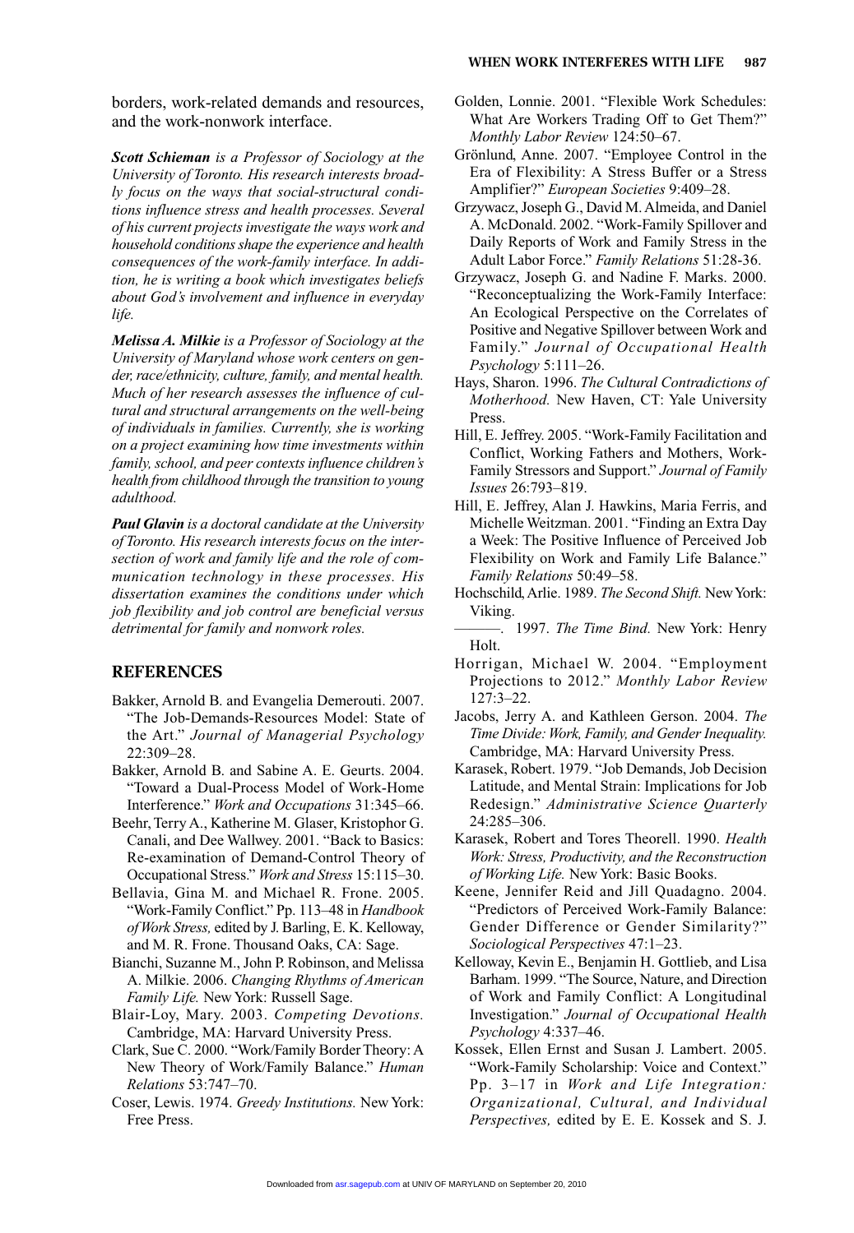borders, work-related demands and resources, and the work-nonwork interface.

*Scott Schieman is a Professor of Sociology at the University of Toronto. His research interests broadly focus on the ways that social-structural conditions influence stress and health processes. Several of his current projects investigate the ways work and household conditions shape the experience and health consequences of the work-family interface. In addition, he is writing a book which investigates beliefs about God's involvement and influence in everyday life.*

*Melissa A. Milkie is a Professor of Sociology at the University of Maryland whose work centers on gender, race/ethnicity, culture, family, and mental health. Much of her research assesses the influence of cultural and structural arrangements on the well-being of individuals in families. Currently, she is working on a project examining how time investments within family, school, and peer contexts influence children's health from childhood through the transition to young adulthood.*

*Paul Glavin is a doctoral candidate at the University of Toronto. His research interests focus on the intersection of work and family life and the role of communication technology in these processes. His dissertation examines the conditions under which job flexibility and job control are beneficial versus detrimental for family and nonwork roles.*

## **REFERENCES**

- Bakker, Arnold B. and Evangelia Demerouti. 2007. "The Job-Demands-Resources Model: State of the Art." *Journal of Managerial Psychology* 22:309–28.
- Bakker, Arnold B. and Sabine A. E. Geurts. 2004. "Toward a Dual-Process Model of Work-Home Interference." *Work and Occupations* 31:345–66.
- Beehr, Terry A., Katherine M. Glaser, Kristophor G. Canali, and Dee Wallwey. 2001. "Back to Basics: Re-examination of Demand-Control Theory of Occupational Stress." *Work and Stress* 15:115–30.
- Bellavia, Gina M. and Michael R. Frone. 2005. "Work-Family Conflict." Pp. 113–48 in *Handbook of Work Stress,* edited by J. Barling, E. K. Kelloway, and M. R. Frone. Thousand Oaks, CA: Sage.
- Bianchi, Suzanne M., John P. Robinson, and Melissa A. Milkie. 2006. *Changing Rhythms of American Family Life.* New York: Russell Sage.
- Blair-Loy, Mary. 2003. *Competing Devotions.* Cambridge, MA: Harvard University Press.
- Clark, Sue C. 2000. "Work/Family Border Theory: A New Theory of Work/Family Balance." *Human Relations* 53:747–70.
- Coser, Lewis. 1974. *Greedy Institutions.* New York: Free Press.
- Golden, Lonnie. 2001. "Flexible Work Schedules: What Are Workers Trading Off to Get Them?" *Monthly Labor Review* 124:50–67.
- Grönlund, Anne. 2007. "Employee Control in the Era of Flexibility: A Stress Buffer or a Stress Amplifier?" *European Societies* 9:409–28.
- Grzywacz, Joseph G., David M. Almeida, and Daniel A. McDonald. 2002. "Work-Family Spillover and Daily Reports of Work and Family Stress in the Adult Labor Force." *Family Relations* 51:28-36.
- Grzywacz, Joseph G. and Nadine F. Marks. 2000. "Reconceptualizing the Work-Family Interface: An Ecological Perspective on the Correlates of Positive and Negative Spillover between Work and Family." *Journal of Occupational Health Psychology* 5:111–26.
- Hays, Sharon. 1996. *The Cultural Contradictions of Motherhood.* New Haven, CT: Yale University Press.
- Hill, E. Jeffrey. 2005. "Work-Family Facilitation and Conflict, Working Fathers and Mothers, Work-Family Stressors and Support." *Journal of Family Issues* 26:793–819.
- Hill, E. Jeffrey, Alan J. Hawkins, Maria Ferris, and Michelle Weitzman. 2001. "Finding an Extra Day a Week: The Positive Influence of Perceived Job Flexibility on Work and Family Life Balance." *Family Relations* 50:49–58.
- Hochschild, Arlie. 1989. *The Second Shift.* New York: Viking.
- ———. 1997. *The Time Bind.* New York: Henry Holt.
- Horrigan, Michael W. 2004. "Employment Projections to 2012." *Monthly Labor Review* 127:3–22.
- Jacobs, Jerry A. and Kathleen Gerson. 2004. *The Time Divide: Work, Family, and Gender Inequality.* Cambridge, MA: Harvard University Press.
- Karasek, Robert. 1979. "Job Demands, Job Decision Latitude, and Mental Strain: Implications for Job Redesign." *Administrative Science Quarterly* 24:285–306.
- Karasek, Robert and Tores Theorell. 1990. *Health Work: Stress, Productivity, and the Reconstruction of Working Life.* New York: Basic Books.
- Keene, Jennifer Reid and Jill Quadagno. 2004. "Predictors of Perceived Work-Family Balance: Gender Difference or Gender Similarity?" *Sociological Perspectives* 47:1–23.
- Kelloway, Kevin E., Benjamin H. Gottlieb, and Lisa Barham. 1999. "The Source, Nature, and Direction of Work and Family Conflict: A Longitudinal Investigation." *Journal of Occupational Health Psychology* 4:337–46.
- Kossek, Ellen Ernst and Susan J. Lambert. 2005. "Work-Family Scholarship: Voice and Context." Pp. 3–17 in *Work and Life Integration: Organizational, Cultural, and Individual Perspectives,* edited by E. E. Kossek and S. J.